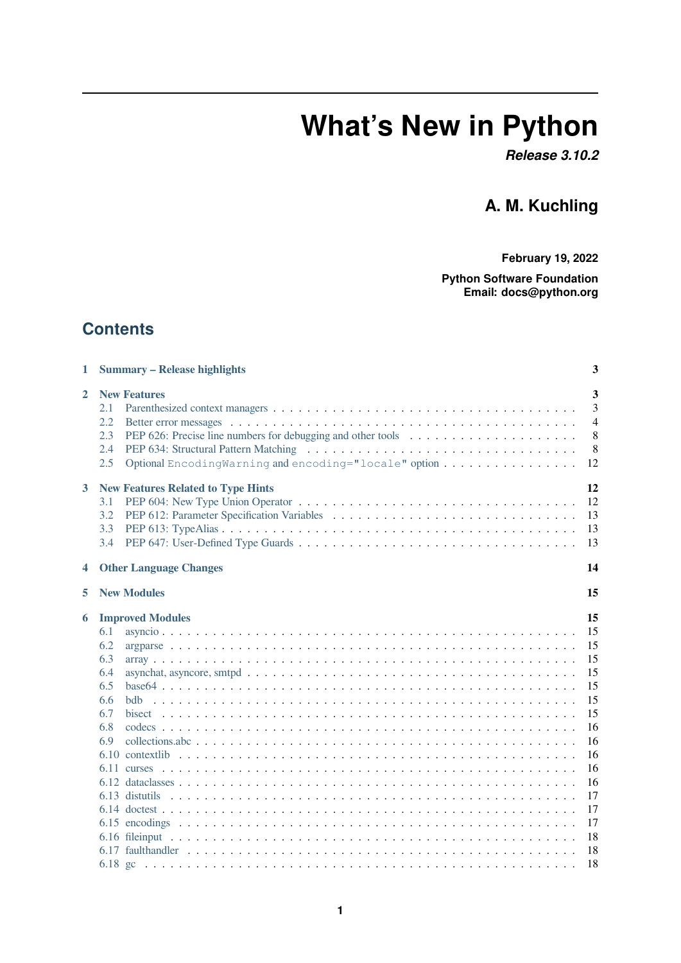# **What's New in Python**

*Release 3.10.2*

# **A. M. Kuchling**

**February 19, 2022**

**Python Software Foundation Email: docs@python.org**

# **Contents**

| 1            | <b>Summary - Release highlights</b>                                                                             | 3                                        |
|--------------|-----------------------------------------------------------------------------------------------------------------|------------------------------------------|
| $\mathbf{2}$ | <b>New Features</b><br>2.1<br>2.2<br>2.3<br>2.4<br>Optional EncodingWarning and encoding="locale" option<br>2.5 | 3<br>3<br>$\overline{4}$<br>8<br>8<br>12 |
| 3            | <b>New Features Related to Type Hints</b><br>3.1<br>3.2<br>3.3<br>3.4                                           | 12<br>12<br>13<br>13<br>13               |
| 4            | <b>Other Language Changes</b>                                                                                   | 14                                       |
| 5            | <b>New Modules</b>                                                                                              | 15                                       |
| 6            | <b>Improved Modules</b>                                                                                         | 15                                       |
|              | 6.1                                                                                                             | 15                                       |
|              | 6.2                                                                                                             | 15                                       |
|              | 6.3                                                                                                             | 15                                       |
|              | 6.4                                                                                                             | 15                                       |
|              | 6.5                                                                                                             | 15                                       |
|              | 6.6                                                                                                             | 15                                       |
|              | 6.7                                                                                                             | 15                                       |
|              | 6.8                                                                                                             | 16                                       |
|              | 6.9                                                                                                             | 16                                       |
|              |                                                                                                                 | 16                                       |
|              |                                                                                                                 | 16                                       |
|              |                                                                                                                 | 16                                       |
|              |                                                                                                                 | 17<br>17                                 |
|              |                                                                                                                 | 17                                       |
|              |                                                                                                                 | 18                                       |
|              |                                                                                                                 | 18                                       |
|              |                                                                                                                 | 18                                       |
|              |                                                                                                                 |                                          |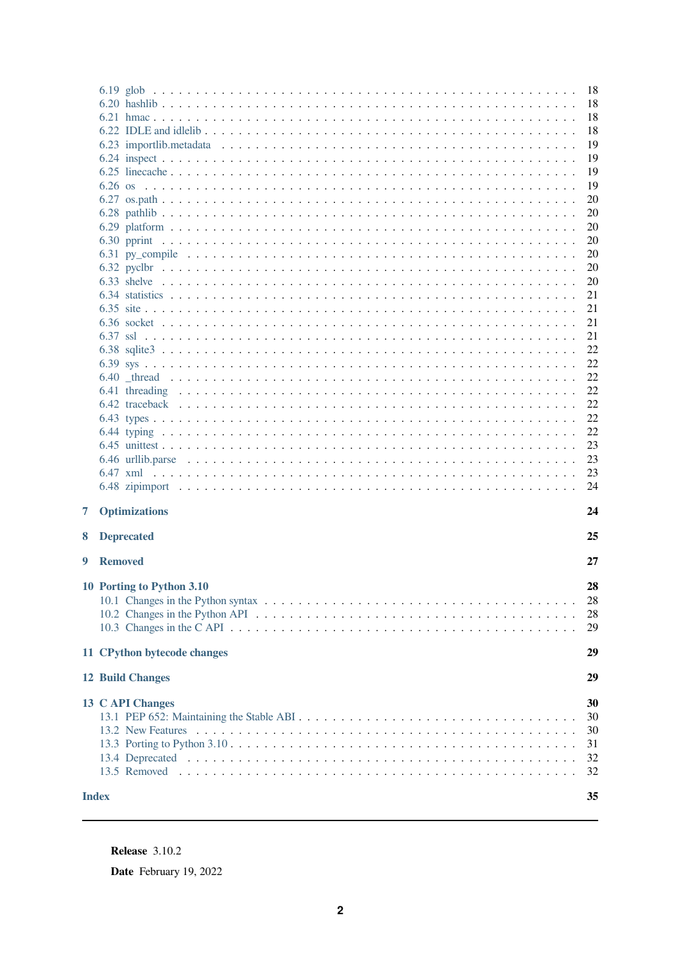|                                  | 18<br>18<br>18<br>18<br>19<br>19<br>19<br>19<br>20<br>20<br>20<br>20<br>20<br>20<br>20<br>21<br>21<br>21<br>21<br>22<br>22<br>22<br>22<br>22<br>22<br>22<br>23<br>23<br>23 |
|----------------------------------|----------------------------------------------------------------------------------------------------------------------------------------------------------------------------|
|                                  | 24                                                                                                                                                                         |
| <b>Optimizations</b><br>7        | 24                                                                                                                                                                         |
| <b>Deprecated</b><br>8           | 25                                                                                                                                                                         |
| <b>Removed</b><br>9              | 27                                                                                                                                                                         |
| 10 Porting to Python 3.10        | 28<br>28<br>28<br>29                                                                                                                                                       |
| 11 CPython bytecode changes      | 29                                                                                                                                                                         |
| <b>12 Build Changes</b>          | 29                                                                                                                                                                         |
| 13 C API Changes<br><b>Index</b> | 30<br>30<br>30<br>31<br>32<br>32<br>35                                                                                                                                     |

**Release** 3.10.2

Date February 19, 2022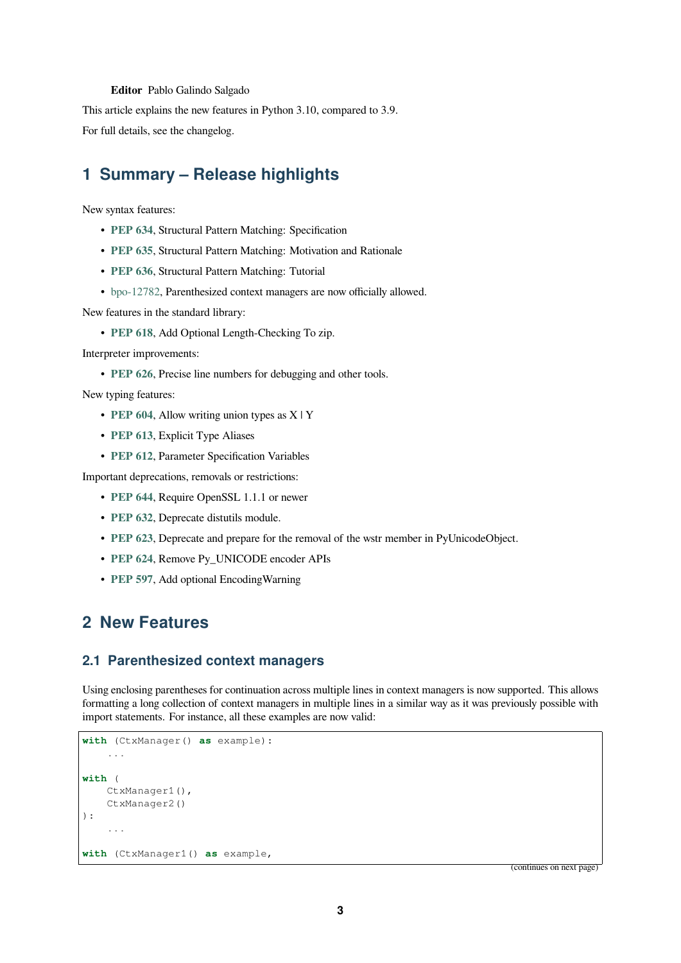#### **Editor** Pablo Galindo Salgado

<span id="page-2-3"></span>This article explains the new features in Python 3.10, compared to 3.9.

For full details, see the changelog.

# **1 Summary – Release highlights**

<span id="page-2-0"></span>New syntax features:

- **PEP 634**, Structural Pattern Matching: Specification
- **PEP 635**, Structural Pattern Matching: Motivation and Rationale
- **PEP 636**, Structural Pattern Matching: Tutorial
- [bpo-1278](https://www.python.org/dev/peps/pep-0634)2, Parenthesized context managers are now officially allowed.

Newf[eatures in](https://www.python.org/dev/peps/pep-0635) the standard library:

• **[PEP 618](https://www.python.org/dev/peps/pep-0636)**, Add Optional Length-Checking To zip.

Interp[reter improv](https://bugs.python.org/issue12782)ements:

• **PEP 626**, Precise line numbers for debugging and other tools.

Newt[yping feat](https://www.python.org/dev/peps/pep-0618)ures:

- **PEP 604**, Allow writing union types as X | Y
- **[PEP 613](https://www.python.org/dev/peps/pep-0626)**, Explicit Type Aliases
- **PEP 612**, Parameter Specification Variables

Impor[tant depre](https://www.python.org/dev/peps/pep-0604)cations, removals or restrictions:

- **[PEP 644](https://www.python.org/dev/peps/pep-0613)**, Require OpenSSL 1.1.1 or newer
- **[PEP 632](https://www.python.org/dev/peps/pep-0612)**, Deprecate distutils module.
- **PEP 623**, Deprecate and prepare for the removal of the wstr member in PyUnicodeObject.
- **[PEP 624](https://www.python.org/dev/peps/pep-0644)**, Remove Py\_UNICODE encoder APIs
- **[PEP 597](https://www.python.org/dev/peps/pep-0632)**, Add optional EncodingWarning

# **2 [New Fe](https://www.python.org/dev/peps/pep-0624)atures**

#### <span id="page-2-1"></span>**2.1 Parenthesized context managers**

<span id="page-2-2"></span>Using enclosing parentheses for continuation across multiple lines in context managers is now supported. This allows formatting a long collection of context managers in multiple lines in a similar way as it was previously possible with import statements. For instance, all these examples are now valid:

```
with (CtxManager() as example):
    ...
with (
    CtxManager1(),
    CtxManager2()
):
    ...
with (CtxManager1() as example,
```
(continues on next page)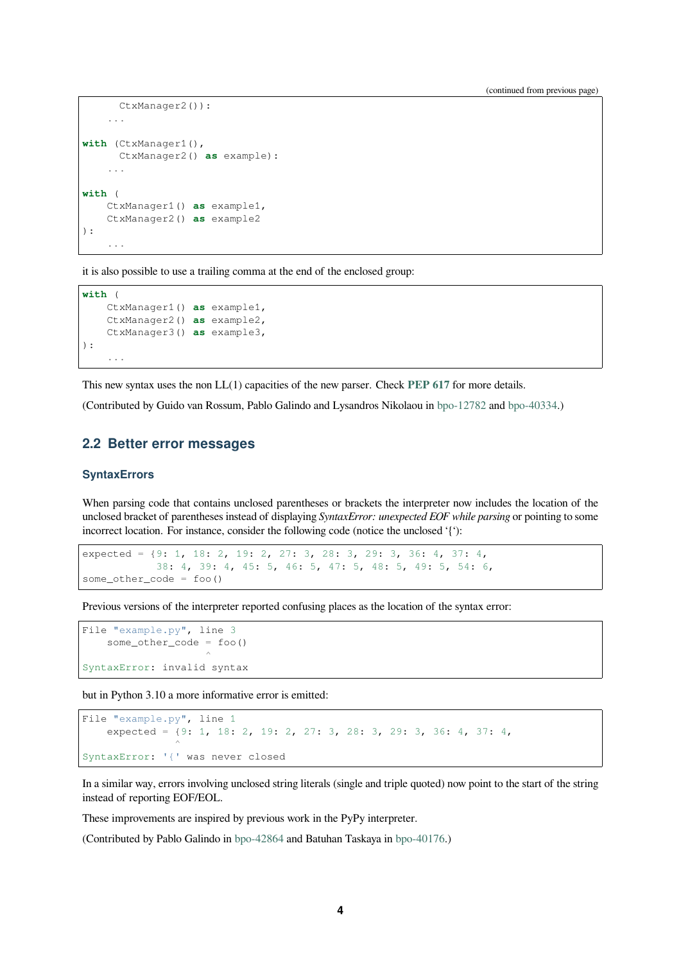```
CtxManager2()):
    ...
with (CtxManager1(),
      CtxManager2() as example):
    ...
with (
    CtxManager1() as example1,
    CtxManager2() as example2
):
    ...
```
it is also possible to use a trailing comma at the end of the enclosed group:

```
with (
   CtxManager1() as example1,
    CtxManager2() as example2,
    CtxManager3() as example3,
):
    ...
```
This new syntax uses the non LL(1) capacities of the new parser. Check **PEP 617** for more details.

(Contributed by Guido van Rossum, Pablo Galindo and Lysandros Nikolaou in bpo-12782 and bpo-40334.)

#### **2.2 Better error messages**

#### **SyntaxErrors**

<span id="page-3-0"></span>When parsing code that contains unclosed parentheses or brackets the interpreter now includes the location of the unclosed bracket of parentheses instead of displaying *SyntaxError: unexpected EOF while parsing* or pointing to some incorrect location. For instance, consider the following code (notice the unclosed '{'):

expected = {9: 1, 18: 2, 19: 2, 27: 3, 28: 3, 29: 3, 36: 4, 37: 4, 38: 4, 39: 4, 45: 5, 46: 5, 47: 5, 48: 5, 49: 5, 54: 6, some\_other\_code = foo()

Previous versions of the interpreter reported confusing places as the location of the syntax error:

```
File "example.py", line 3
    some_other_code = foo()
                         \hat{\phantom{a}}SyntaxError: invalid syntax
```
but in Python 3.10 a more informative error is emitted:

```
File "example.py", line 1
    expected = {9: 1, 18: 2, 19: 2, 27: 3, 28: 3, 29: 3, 36: 4, 37: 4,
                 \hat{\phantom{a}}SyntaxError: '{' was never closed
```
In a similar way, errors involving unclosed string literals (single and triple quoted) now point to the start of the string instead of reporting EOF/EOL.

These improvements are inspired by previous work in the PyPy interpreter.

(Contributed by Pablo Galindo in bpo-42864 and Batuhan Taskaya in bpo-40176.)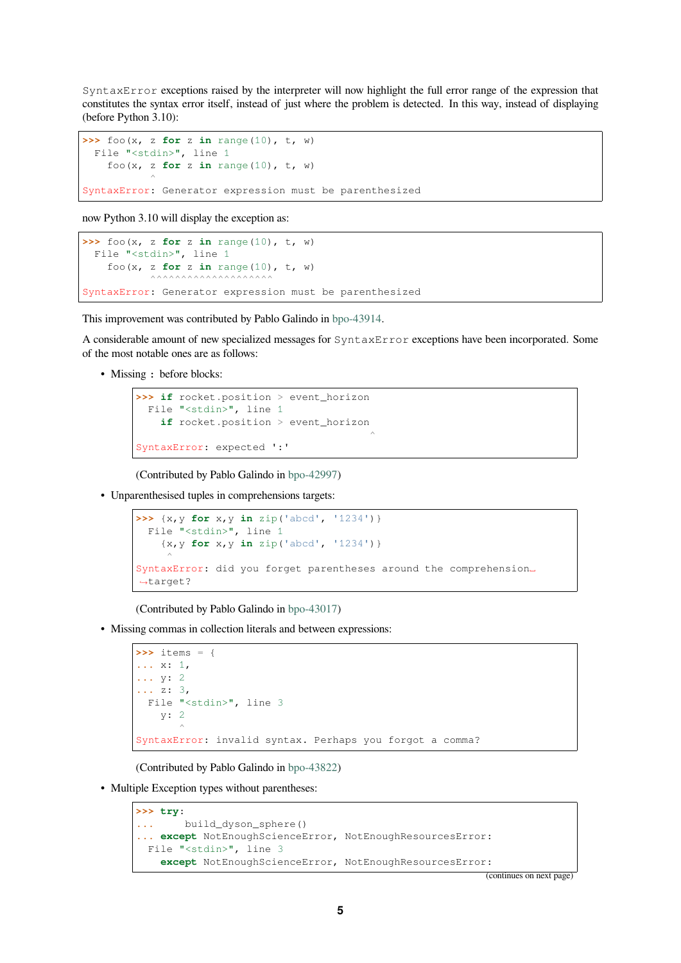SyntaxError exceptions raised by the interpreter will now highlight the full error range of the expression that constitutes the syntax error itself, instead of just where the problem is detected. In this way, instead of displaying (before Python 3.10):

```
\Rightarrow foo(x, z for z in range(10), t, w)
  File "<stdin>", line 1
     foo(x, z for z in range(10), t, w)
              \hat{\phantom{a}}
```
SyntaxError: Generator expression must be parenthesized

now Python 3.10 will display the exception as:

```
\Rightarrow foo(x, z for z in range(10), t, w)
  File "<stdin>", line 1
    foo(x, z for z in range(10), t, w)
            \begin{array}{c} \n\end{array}SyntaxError: Generator expression must be parenthesized
```
This improvement was contributed by Pablo Galindo in bpo-43914.

A considerable amount of new specialized messages for SyntaxError exceptions have been incorporated. Some of the most notable ones are as follows:

• Missing : before blocks:

```
>>> if rocket.position > event_horizon
  File "<stdin>", line 1
    if rocket.position > event_horizon
                                           \hat{\phantom{a}}SyntaxError: expected ':'
```
(Contributed by Pablo Galindo in bpo-42997)

• Unparenthesised tuples in comprehensions targets:

```
>>> {x,y for x,y in zip('abcd', '1234')}
  File "<stdin>", line 1
    {x,y for x,y in zip('abcd', '1234')}
     \hat{\phantom{a}}SyntaxError: did you forget parentheses around the comprehension.
,→target?
```
(Contributed by Pablo Galindo in bpo-43017)

• Missing commas in collection literals and between expressions:

```
>>> items = {
... x: 1,
... y: 2
... z: 3,
 File "<stdin>", line 3
    y: 2
        \hat{\phantom{a}}SyntaxError: invalid syntax. Perhaps you forgot a comma?
```
(Contributed by Pablo Galindo in bpo-43822)

• Multiple Exception types without parentheses:

```
>>> try:
... build_dyson_sphere()
... except NotEnoughScienceError, NotEnoughResourcesError:
 File "<stdin>", line 3
   except NotEnoughScienceError, NotEnoughResourcesError:
```
(continues on next page)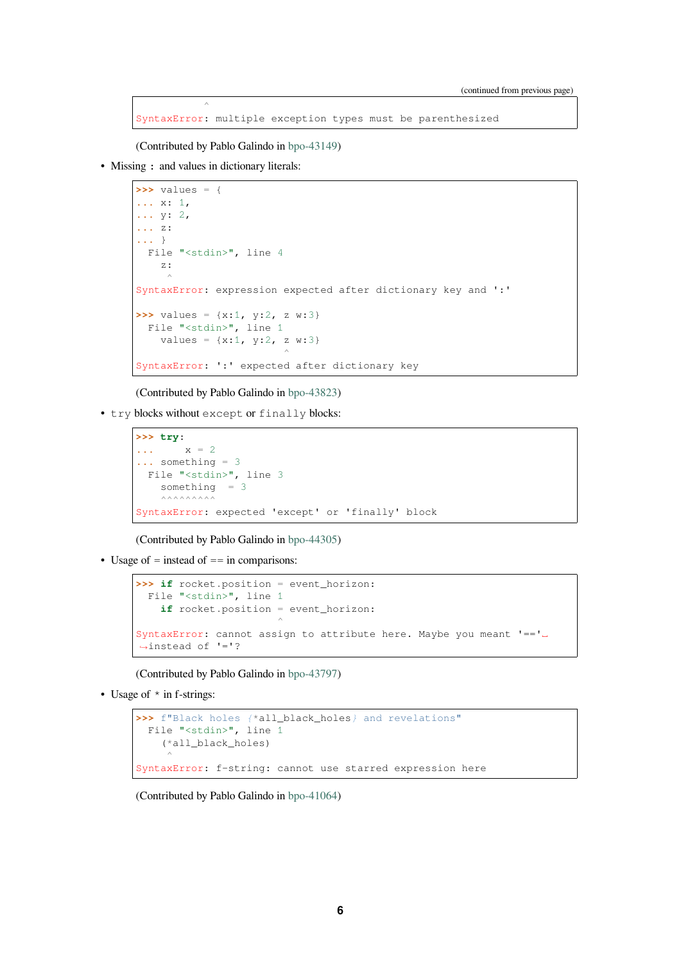SyntaxError: multiple exception types must be parenthesized

(Contributed by Pablo Galindo in bpo-43149)

• Missing : and values in dictionary literals:

 $\hat{\phantom{a}}$ 

```
>>> values = {
... x: 1,
... y: 2,
... z:
... }
 File "<stdin>", line 4
    z:
      \hat{\phantom{a}}SyntaxError: expression expected after dictionary key and ':'
>>> values = {x:1, y:2, z w:3}
 File "<stdin>", line 1
    values = \{x:1, y:2, z w:3\}\hat{\phantom{a}}SyntaxError: ':' expected after dictionary key
```
(Contributed by Pablo Galindo in bpo-43823)

• try blocks without except or finally blocks:

```
>>> try:
\cdot \cdot \cdot x = 2... something = 3
 File "<stdin>", line 3
     something = 3\wedge\wedge\wedge\wedge\wedge\wedge\wedge\wedge\wedge\wedgeSyntaxError: expected 'except' or 'finally' block
```
(Contributed by Pablo Galindo in bpo-44305)

• Usage of = instead of == in comparisons:

```
>>> if rocket.position = event_horizon:
  File "<stdin>", line 1
    if rocket.position = event_horizon:
                         \hat{\phantom{a}}SyntaxError: cannot assign to attribute here. Maybe you meant '=='␣
,→instead of '='?
```
(Contributed by Pablo Galindo in bpo-43797)

• Usage of  $*$  in f-strings:

```
>>> f"Black holes {*all_black_holes} and revelations"
  File "<stdin>", line 1
    (*all_black_holes)
     \hat{\phantom{a}}SyntaxError: f-string: cannot use starred expression here
```
(Contributed by Pablo Galindo in bpo-41064)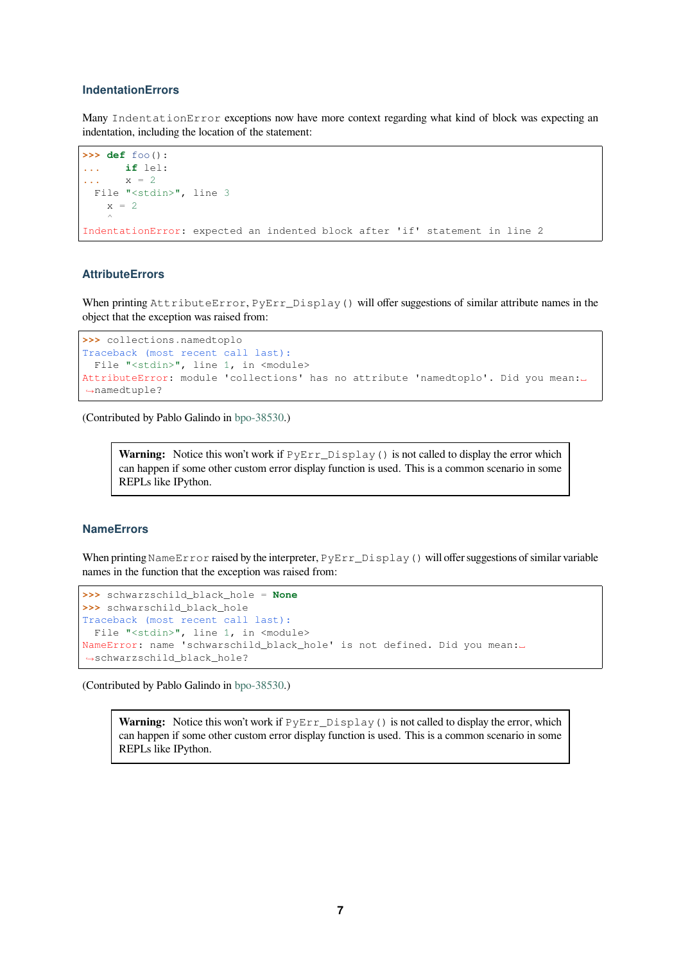#### **IndentationErrors**

Many IndentationError exceptions now have more context regarding what kind of block was expecting an indentation, including the location of the statement:

```
>>> def foo():
... if lel:
\cdot \cdot \cdot x = 2File "<stdin>", line 3
    x = 2\hat{\phantom{a}}IndentationError: expected an indented block after 'if' statement in line 2
```
#### **AttributeErrors**

When printing AttributeError, PyErr\_Display() will offer suggestions of similar attribute names in the object that the exception was raised from:

```
>>> collections.namedtoplo
Traceback (most recent call last):
 File "<stdin>", line 1, in <module>
AttributeError: module 'collections' has no attribute 'namedtoplo'. Did you mean:␣
,→namedtuple?
```
(Contributed by Pablo Galindo in bpo-38530.)

**Warning:** Notice this won't work if  $PyErr\_Display$  () is not called to display the error which can happen if some other [custom erro](https://bugs.python.org/issue38530)r display function is used. This is a common scenario in some REPLs like IPython.

#### **NameErrors**

When printing NameError raised by the interpreter, PyErr\_Display() will offer suggestions of similar variable names in the function that the exception was raised from:

```
>>> schwarzschild_black_hole = None
>>> schwarschild black hole
Traceback (most recent call last):
File "<stdin>", line 1, in <module>
NameError: name 'schwarschild_black_hole' is not defined. Did you mean:␣
,→schwarzschild_black_hole?
```
(Contributed by Pablo Galindo in bpo-38530.)

**Warning:** Notice this won't work if  $PyErr\_Display$  () is not called to display the error, which can happen if some other [custom erro](https://bugs.python.org/issue38530)r display function is used. This is a common scenario in some REPLs like IPython.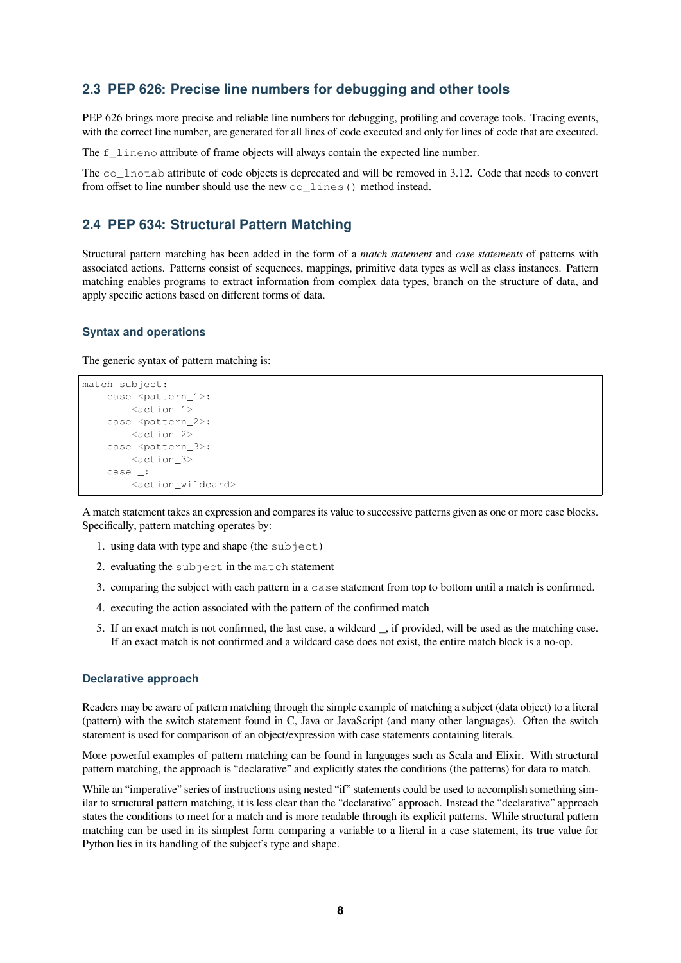#### <span id="page-7-0"></span>**2.3 PEP 626: Precise line numbers for debugging and other tools**

PEP 626 brings more precise and reliable line numbers for debugging, profiling and coverage tools. Tracing events, with the correct line number, are generated for all lines of code executed and only for lines of code that are executed.

The f\_lineno attribute of frame objects will always contain the expected line number.

The co\_lnotab attribute of code objects is deprecated and will be removed in 3.12. Code that needs to convert from offset to line number should use the new co\_lines() method instead.

#### <span id="page-7-1"></span>**2.4 PEP 634: Structural Pattern Matching**

Structural pattern matching has been added in the form of a *match statement* and *case statements* of patterns with associated actions. Patterns consist of sequences, mappings, primitive data types as well as class instances. Pattern matching enables programs to extract information from complex data types, branch on the structure of data, and apply specific actions based on different forms of data.

#### **Syntax and operations**

The generic syntax of pattern matching is:

```
match subject:
   case <pattern_1>:
       <action_1>
    case <pattern_2>:
       <action_2>
    case <pattern_3>:
        <action_3>
    case _:
        <action_wildcard>
```
A match statement takes an expression and compares its value to successive patterns given as one or more case blocks. Specifically, pattern matching operates by:

- 1. using data with type and shape (the subject)
- 2. evaluating the subject in the match statement
- 3. comparing the subject with each pattern in a case statement from top to bottom until a match is confirmed.
- 4. executing the action associated with the pattern of the confirmed match
- 5. If an exact match is not confirmed, the last case, a wildcard \_, if provided, will be used as the matching case. If an exact match is not confirmed and a wildcard case does not exist, the entire match block is a no-op.

#### **Declarative approach**

Readers may be aware of pattern matching through the simple example of matching a subject (data object) to a literal (pattern) with the switch statement found in C, Java or JavaScript (and many other languages). Often the switch statement is used for comparison of an object/expression with case statements containing literals.

More powerful examples of pattern matching can be found in languages such as Scala and Elixir. With structural pattern matching, the approach is "declarative" and explicitly states the conditions (the patterns) for data to match.

While an "imperative" series of instructions using nested "if" statements could be used to accomplish something similar to structural pattern matching, it is less clear than the "declarative" approach. Instead the "declarative" approach states the conditions to meet for a match and is more readable through its explicit patterns. While structural pattern matching can be used in its simplest form comparing a variable to a literal in a case statement, its true value for Python lies in its handling of the subject's type and shape.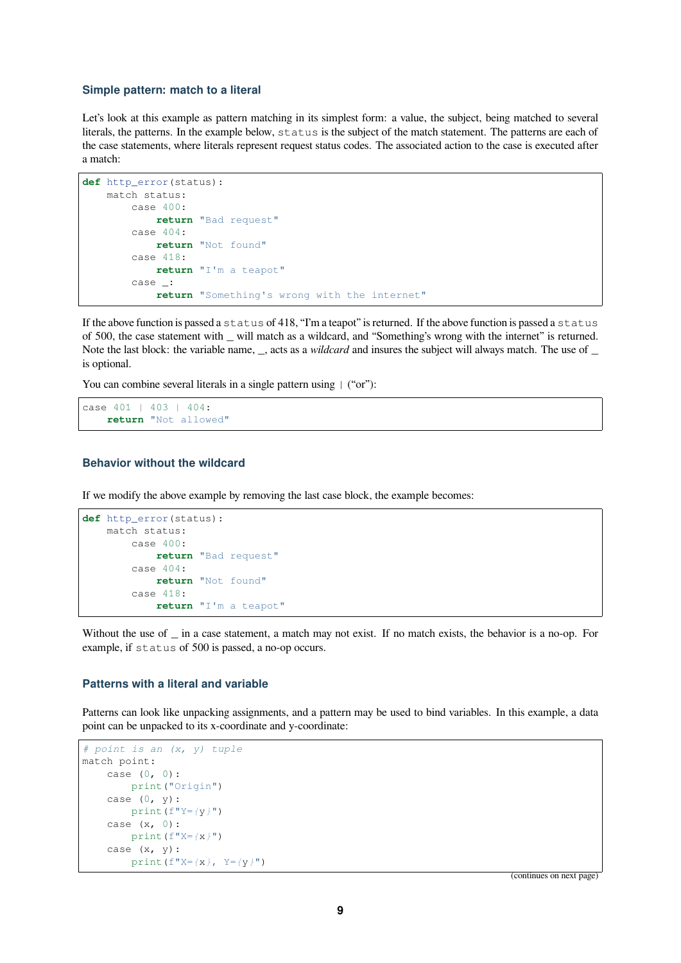#### **Simple pattern: match to a literal**

Let's look at this example as pattern matching in its simplest form: a value, the subject, being matched to several literals, the patterns. In the example below, status is the subject of the match statement. The patterns are each of the case statements, where literals represent request status codes. The associated action to the case is executed after a match:

```
def http_error(status):
   match status:
       case 400:
           return "Bad request"
       case 404:
           return "Not found"
        case 418:
           return "I'm a teapot"
        case _:
            return "Something's wrong with the internet"
```
If the above function is passed a status of 418, "I'm a teapot" is returned. If the above function is passed a status of 500, the case statement with \_ will match as a wildcard, and "Something's wrong with the internet" is returned. Note the last block: the variable name, , acts as a *wildcard* and insures the subject will always match. The use of is optional.

You can combine several literals in a single pattern using  $\mid$  ("or"):

```
case 401 | 403 | 404:
    return "Not allowed"
```
#### **Behavior without the wildcard**

If we modify the above example by removing the last case block, the example becomes:

```
def http_error(status):
    match status:
       case 400:
           return "Bad request"
        case 404:
           return "Not found"
        case 418:
            return "I'm a teapot"
```
Without the use of \_ in a case statement, a match may not exist. If no match exists, the behavior is a no-op. For example, if status of 500 is passed, a no-op occurs.

#### **Patterns with a literal and variable**

Patterns can look like unpacking assignments, and a pattern may be used to bind variables. In this example, a data point can be unpacked to its x-coordinate and y-coordinate:

```
# point is an (x, y) tuple
match point:
   case (0, 0):
       print("Origin")
   case (0, y):
       print(f"Y={y}")
    case (x, 0):
       print(f"X={x}")
    case (x, y):
       print(f"X={x}, Y={y}")
```
(continues on next page)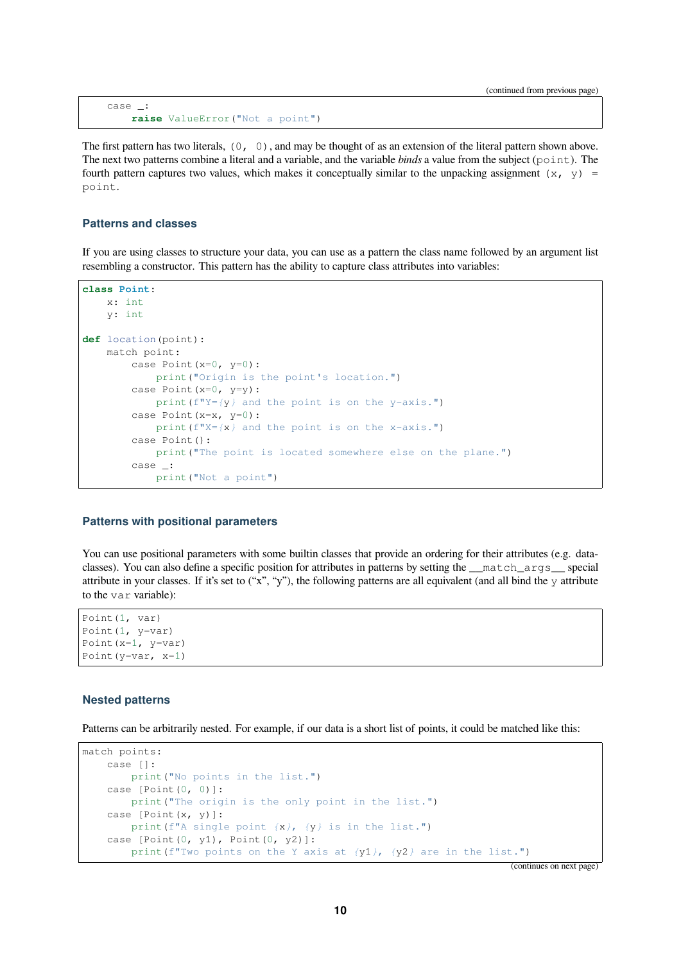```
case _:
    raise ValueError("Not a point")
```
The first pattern has two literals,  $(0, 0)$ , and may be thought of as an extension of the literal pattern shown above. The next two patterns combine a literal and a variable, and the variable *binds* a value from the subject ( $point$ ). The fourth pattern captures two values, which makes it conceptually similar to the unpacking assignment (x, y) = point.

#### **Patterns and classes**

If you are using classes to structure your data, you can use as a pattern the class name followed by an argument list resembling a constructor. This pattern has the ability to capture class attributes into variables:

```
class Point:
    x: int
    y: int
def location(point):
    match point:
        case Point(x=0, y=0):
           print("Origin is the point's location.")
        case Point (x=0, y=y) :
           print(f"Y={y} and the point is on the y-axis.")
        case Point(x=x, y=0):
           print(f"X={x} and the point is on the x-axis.")
        case Point():
           print("The point is located somewhere else on the plane.")
        case _:
            print("Not a point")
```
#### **Patterns with positional parameters**

You can use positional parameters with some builtin classes that provide an ordering for their attributes (e.g. dataclasses). You can also define a specific position for attributes in patterns by setting the \_\_match\_args\_\_ special attribute in your classes. If it's set to  $(x, y, y')$ , the following patterns are all equivalent (and all bind the y attribute to the var variable):

```
Point(1, var)
Point(1, y=var)
Point(x=1, y=var)
Point(y=var, x=1)
```
#### **Nested patterns**

Patterns can be arbitrarily nested. For example, if our data is a short list of points, it could be matched like this:

```
match points:
   case []:
       print("No points in the list.")
   case [Point(0, 0)]:
       print("The origin is the only point in the list.")
   case [Point(x, y)]:
       print(f"A single point {x}, {y} is in the list.")
   case [Point(0, y1), Point(0, y2)]:print(f"Two points on the Y axis at {y1}, {y2} are in the list.")
```
(continues on next page)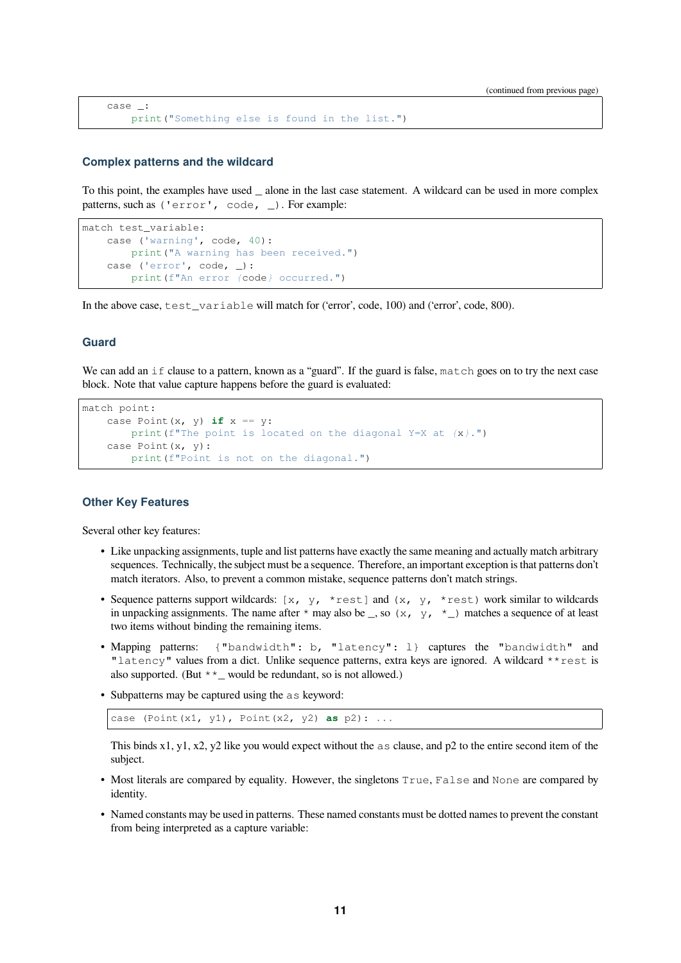```
case _:
    print("Something else is found in the list.")
```
#### **Complex patterns and the wildcard**

To this point, the examples have used \_ alone in the last case statement. A wildcard can be used in more complex patterns, such as ('error', code, \_). For example:

```
match test_variable:
   case ('warning', code, 40):
       print("A warning has been received.")
   case ('error', code, _):
       print(f"An error {code} occurred.")
```
In the above case, test\_variable will match for ('error', code, 100) and ('error', code, 800).

#### **Guard**

We can add an if clause to a pattern, known as a "guard". If the guard is false, match goes on to try the next case block. Note that value capture happens before the guard is evaluated:

```
match point:
   case Point(x, y) if x == y:
       print(f"The point is located on the diagonal Y=X at {x}.")
    case Point(x, y):
       print(f"Point is not on the diagonal.")
```
#### **Other Key Features**

Several other key features:

- Like unpacking assignments, tuple and list patterns have exactly the same meaning and actually match arbitrary sequences. Technically, the subject must be a sequence. Therefore, an important exception is that patterns don't match iterators. Also, to prevent a common mistake, sequence patterns don't match strings.
- Sequence patterns support wildcards:  $[x, y, \star \text{rest}]$  and  $(x, y, \star \text{rest})$  work similar to wildcards in unpacking assignments. The name after  $*$  may also be \_, so  $(x, y, *_-)$  matches a sequence of at least two items without binding the remaining items.
- Mapping patterns: {"bandwidth": b, "latency": l} captures the "bandwidth" and "latency" values from a dict. Unlike sequence patterns, extra keys are ignored. A wildcard \*\*rest is also supported. (But  $*$   $\star$   $\_\_$  would be redundant, so is not allowed.)
- Subpatterns may be captured using the as keyword:

```
case (Point(x1, y1), Point(x2, y2) as p2): ...
```
This binds x1, y1, x2, y2 like you would expect without the as clause, and p2 to the entire second item of the subject.

- Most literals are compared by equality. However, the singletons True, False and None are compared by identity.
- Named constants may be used in patterns. These named constants must be dotted names to prevent the constant from being interpreted as a capture variable: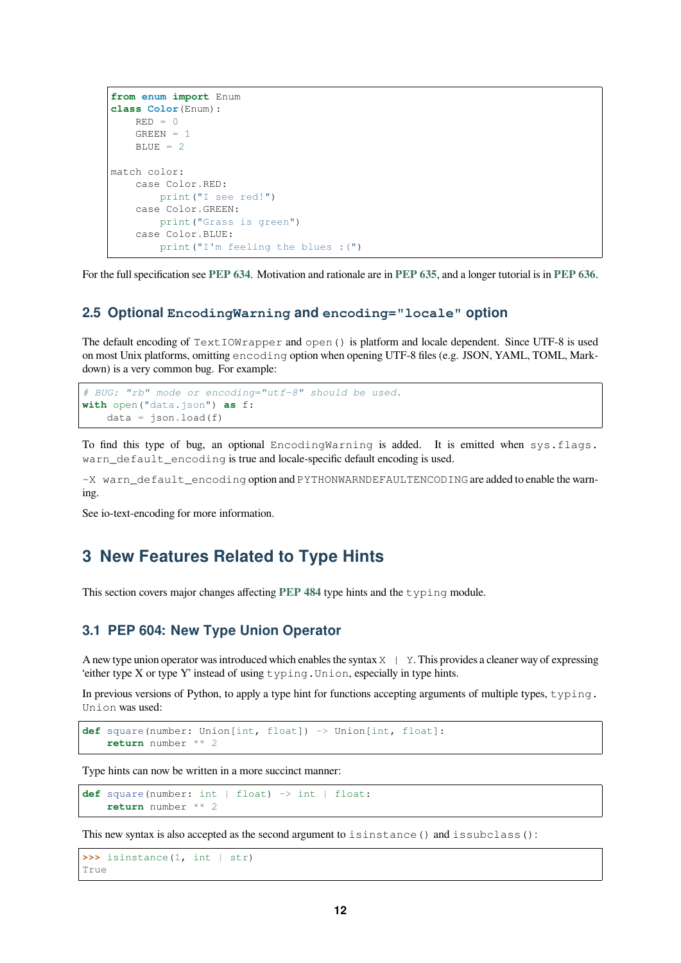```
from enum import Enum
class Color(Enum):
   RED = 0GREEN = 1BLUE = 2match color:
   case Color.RED:
       print("I see red!")
   case Color.GREEN:
       print("Grass is green")
    case Color.BLUE:
       print("I'm feeling the blues :(")
```
For the full specification see **PEP 634**. Motivation and rationale are in **PEP 635**, and a longer tutorial is in **PEP 636**.

#### **2.5 Optional EncodingWarning and encoding="locale" option**

<span id="page-11-0"></span>The default encoding of  $TextIONrapper$  and open() is platfor[m and loca](https://www.python.org/dev/peps/pep-0635)le dependent. Since UT[F-8 is used](https://www.python.org/dev/peps/pep-0636) on most Unix platforms, omitting encoding option when opening UTF-8 files (e.g. JSON, YAML, TOML, Markdown) is a very common bug. For example:

```
# BUG: "rb" mode or encoding="utf-8" should be used.
with open("data.json") as f:
   data = json.load(f)
```
To find this type of bug, an optional EncodingWarning is added. It is emitted when sys.flags. warn\_default\_encoding is true and locale-specific default encoding is used.

-X warn\_default\_encoding option and PYTHONWARNDEFAULTENCODING are added to enable the warning.

See io-text-encoding for more information.

# **3 New Features Related to Type Hints**

<span id="page-11-1"></span>This section covers major changes affecting **PEP 484** type hints and the typing module.

#### **3.1 PEP 604: New Type Union Operator**

A new type union operator was introduced w[hich enabl](https://www.python.org/dev/peps/pep-0484)es the syntax  $X \mid Y$ . This provides a cleaner way of expressing 'either type X or type Y' instead of using typing.Union, especially in type hints.

<span id="page-11-2"></span>In previous versions of Python, to apply a type hint for functions accepting arguments of multiple types, typing. Union was used:

```
def square(number: Union[int, float]) -> Union[int, float]:
   return number ** 2
```
Type hints can now be written in a more succinct manner:

```
def square(number: int | float) -> int | float:
    return number ** 2
```
This new syntax is also accepted as the second argument to isinstance () and issubclass():

```
>>> isinstance(1, int | str)
True
```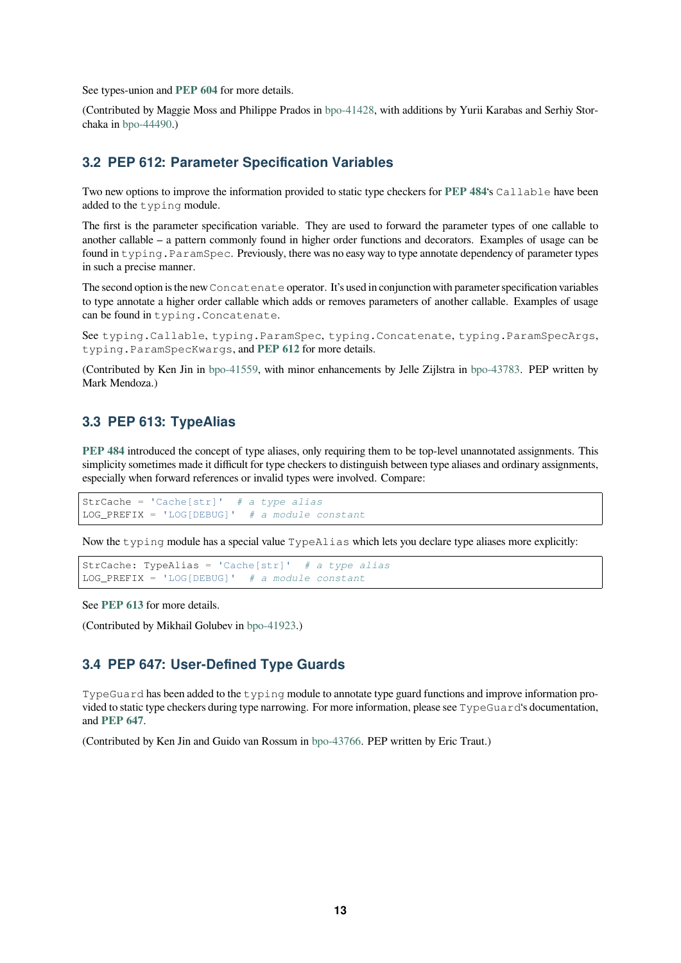<span id="page-12-3"></span>See types-union and **PEP 604** for more details.

(Contributed by Maggie Moss and Philippe Prados in bpo-41428, with additions by Yurii Karabas and Serhiy Storchaka in bpo-44490.)

#### **3.2 PEP 612: Parameter Specificatio[n Variab](https://bugs.python.org/issue41428)les**

Two ne[w options to](https://bugs.python.org/issue44490) improve the information provided to static type checkers for **PEP 484**'s Callable have been added to the typing module.

<span id="page-12-0"></span>The first is the parameter specification variable. They are used to forward the parameter types of one callable to another callable – a pattern commonly found in higher order functions and decorators. Examples of usage can be found in typing.ParamSpec. Previously, there was no easy way to type anno[tate depend](https://www.python.org/dev/peps/pep-0484)ency of parameter types in such a precise manner.

The second option is the new Concatenate operator. It's used in conjunction with parameter specification variables to type annotate a higher order callable which adds or removes parameters of another callable. Examples of usage can be found in typing.Concatenate.

See typing.Callable, typing.ParamSpec, typing.Concatenate, typing.ParamSpecArgs, typing.ParamSpecKwargs, and **PEP 612** for more details.

(Contributed by Ken Jin in bpo-41559, with minor enhancements by Jelle Zijlstra in bpo-43783. PEP written by Mark Mendoza.)

#### **3.3 PEP 613: Type[Alias](https://bugs.python.org/issue41559)**

<span id="page-12-1"></span>**PEP 484** introduced the concept of type aliases, only requiring them to be top-level unannotated assignments. This simplicity sometimes made it difficult for type checkers to distinguish between type aliases and ordinary assignments, especially when forward references or invalid types were involved. Compare:

StrCache = 'Cache[str]' *# a type alias* [LOG\\_PRE](https://www.python.org/dev/peps/pep-0484)FIX = 'LOG[DEBUG]' *# a module constant*

Now the typing module has a special value TypeAlias which lets you declare type aliases more explicitly:

```
StrCache: TypeAlias = 'Cache[str]' # a type alias
LOG_PREFIX = 'LOG[DEBUG]' # a module constant
```
See **PEP 613** for more details.

(Contributed by Mikhail Golubev in bpo-41923.)

#### **3.4 [PEP 6](https://www.python.org/dev/peps/pep-0613)47: User-Defined Type Guards**

<span id="page-12-2"></span>TypeGuard has been added to the [typing](https://bugs.python.org/issue41923) module to annotate type guard functions and improve information provided to static type checkers during type narrowing. For more information, please see TypeGuard's documentation, and **PEP 647**.

(Contributed by Ken Jin and Guido van Rossum in bpo-43766. PEP written by Eric Traut.)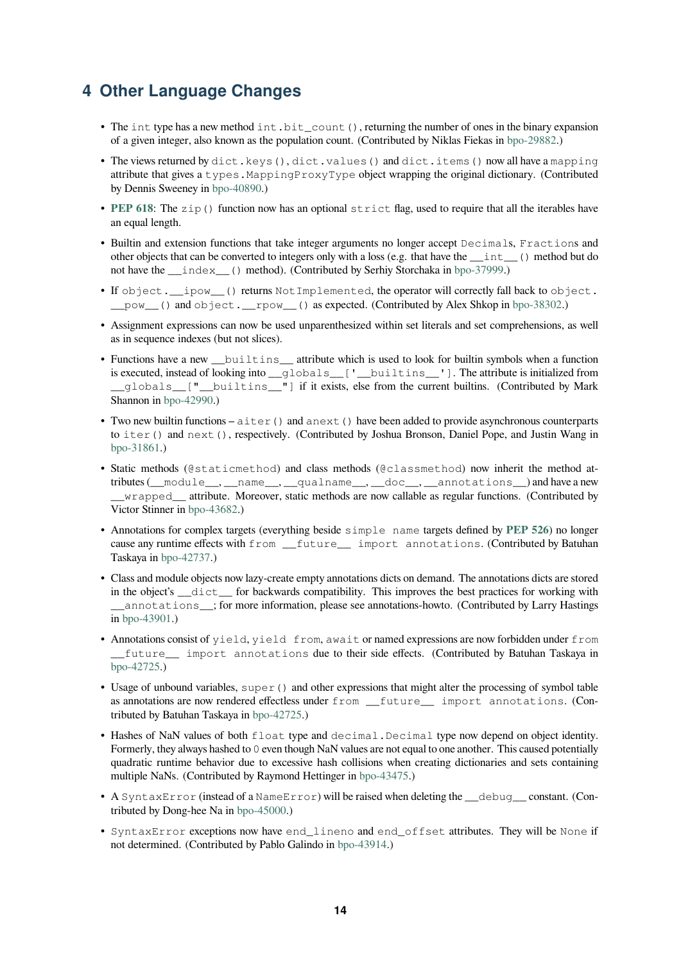# <span id="page-13-1"></span>**4 Other Language Changes**

- The int type has a new method int.bit\_count(), returning the number of ones in the binary expansion of a given integer, also known as the population count. (Contributed by Niklas Fiekas in bpo-29882.)
- <span id="page-13-0"></span>• The views returned by dict.keys(), dict.values() and dict.items() now all have a mapping attribute that gives a types.MappingProxyType object wrapping the original dictionary. (Contributed by Dennis Sweeney in bpo-40890.)
- PEP 618: The zip() function now has an optional strict flag, used to require that [all the itera](https://bugs.python.org/issue29882)bles have an equal length.
- Builtin and extension [functions th](https://bugs.python.org/issue40890)at take integer arguments no longer accept Decimals, Fractions and other objects that can be converted to integers only with a loss (e.g. that have the \_\_int\_\_() method but do [not have t](https://www.python.org/dev/peps/pep-0618)he \_\_index\_\_() method). (Contributed by Serhiy Storchaka in bpo-37999.)
- If object. ipow () returns Not Implemented, the operator will correctly fall back to object. \_\_pow\_\_() and object.\_\_rpow\_\_() as expected. (Contributed by Alex Shkop in bpo-38302.)
- Assignment expressions can now be used unparenthesized within set literals [and set com](https://bugs.python.org/issue37999)prehensions, as well as in sequence indexes (but not slices).
- Functions have a new \_\_builtins\_\_ attribute which is used to look for builtin symb[ols when a](https://bugs.python.org/issue38302) function is executed, instead of looking into \_\_globals\_\_['\_builtins\_\_']. The attribute is initialized from \_\_globals\_\_["\_\_builtins\_\_"] if it exists, else from the current builtins. (Contributed by Mark Shannon in bpo-42990.)
- Two new builtin functions  $-\text{aiter}$  () and anext () have been added to provide asynchronous counterparts to iter() and next(), respectively. (Contributed by Joshua Bronson, Daniel Pope, and Justin Wang in bpo-31861.[\)](https://bugs.python.org/issue42990)
- Static methods (@staticmethod) and class methods (@classmethod) now inherit the method attributes (\_\_module\_\_, \_\_name\_\_, \_\_qualname\_\_, \_\_doc\_\_, \_\_annotations\_\_) and have a new \_\_wrapped\_\_ attribute. Moreover, static methods are now callable as regular functions. (Contributed by [Victor Stinn](https://bugs.python.org/issue31861)er in bpo-43682.)
- Annotations for complex targets (everything beside simple name targets defined by **PEP 526**) no longer cause any runtime effects with from \_\_future\_\_ import annotations. (Contributed by Batuhan Taskaya in bpo-4[2737.\)](https://bugs.python.org/issue43682)
- Class and module objects now lazy-create empty annotations dicts on demand. The annotations dicts are stored in the object's \_\_dict\_\_ for backwards compatibility. This improves the best practi[ces for wo](https://www.python.org/dev/peps/pep-0526)rking with \_\_annot[ations\\_\\_](https://bugs.python.org/issue42737); for more information, please see annotations-howto. (Contributed by Larry Hastings in bpo-43901.)
- Annotations consist of yield, yield from, await or named expressions are now forbidden under from \_\_future\_\_ import annotations due to their side effects. (Contributed by Batuhan Taskaya in bp[o-42725.\)](https://bugs.python.org/issue43901)
- Usage of unbound variables, super () and other expressions that might alter the processing of symbol table as annotations are now rendered effectless under from \_\_future\_\_ import annotations. (Con[tributed by](https://bugs.python.org/issue42725) Batuhan Taskaya in bpo-42725.)
- Hashes of NaN values of both float type and decimal. Decimal type now depend on object identity. Formerly, they always hashed to 0 even though NaN values are not equal to one another. This caused potentially quadratic runtime behavior due to excessive hash collisions when creating dictionaries and sets containing multiple NaNs. (Contributed b[y Raymond](https://bugs.python.org/issue42725) Hettinger in bpo-43475.)
- A SyntaxError (instead of a NameError) will be raised when deleting the \_\_debug\_\_ constant. (Contributed by Dong-hee Na in bpo-45000.)
- SyntaxError exceptions now have end\_lineno and [end\\_o](https://bugs.python.org/issue43475)ffset attributes. They will be None if not determined. (Contributed by Pablo Galindo in bpo-43914.)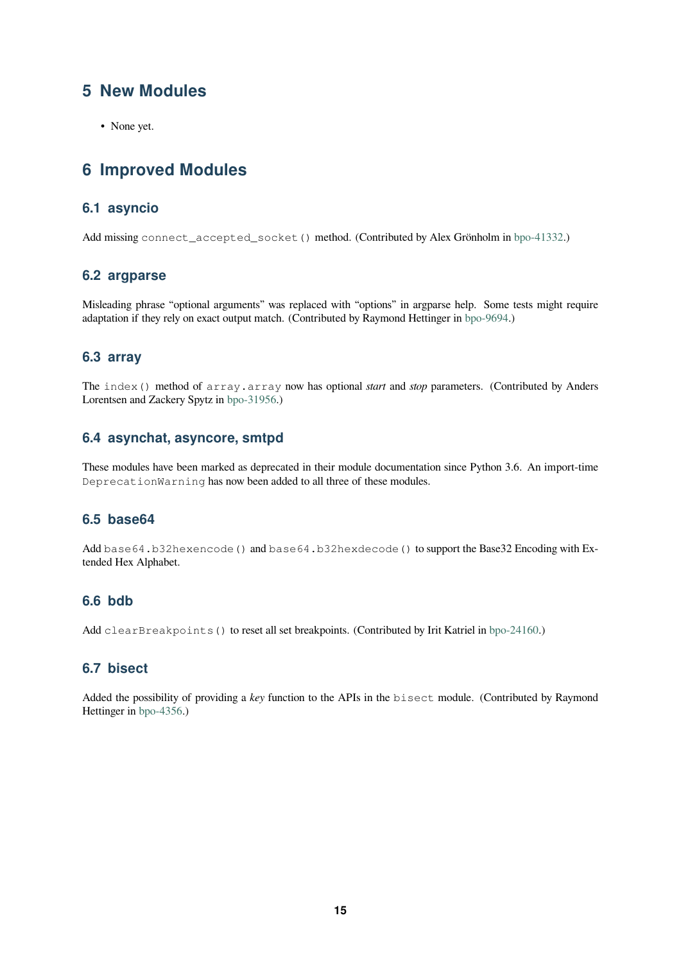# **5 New Modules**

• None yet.

# <span id="page-14-0"></span>**6 Improved Modules**

## <span id="page-14-1"></span>**6.1 asyncio**

<span id="page-14-2"></span>Add missing connect\_accepted\_socket() method. (Contributed by Alex Grönholm in bpo-41332.)

#### **6.2 argparse**

<span id="page-14-3"></span>Misleading phrase "optional arguments" was replaced with "options" in argparse help. Some [tests might](https://bugs.python.org/issue41332) require adaptation if they rely on exact output match. (Contributed by Raymond Hettinger in bpo-9694.)

#### **6.3 array**

<span id="page-14-4"></span>The index() method of array.array now has optional *start* and *stop* parame[ters. \(Con](https://bugs.python.org/issue9694)tributed by Anders Lorentsen and Zackery Spytz in bpo-31956.)

#### **6.4 asynchat, asyncore, smtpd**

<span id="page-14-5"></span>These modules have been mark[ed as deprec](https://bugs.python.org/issue31956)ated in their module documentation since Python 3.6. An import-time DeprecationWarning has now been added to all three of these modules.

### **6.5 base64**

<span id="page-14-6"></span>Add base64.b32hexencode() and base64.b32hexdecode() to support the Base32 Encoding with Extended Hex Alphabet.

## **6.6 bdb**

<span id="page-14-7"></span>Add clearBreakpoints () to reset all set breakpoints. (Contributed by Irit Katriel in bpo-24160.)

#### **6.7 bisect**

<span id="page-14-8"></span>Added the possibility of providing a *key* function to the APIs in the bisect module. ([Contributed](https://bugs.python.org/issue24160) by Raymond Hettinger in bpo-4356.)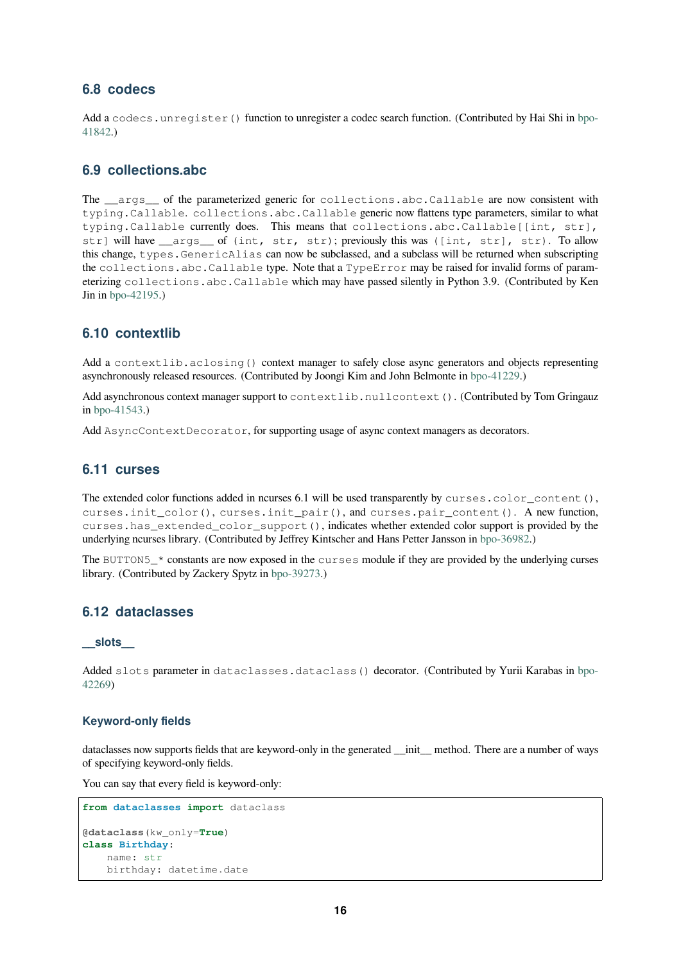### **6.8 codecs**

Add a codecs.unregister() function to unregister a codec search function. (Contributed by Hai Shi in bpo-41842.)

## <span id="page-15-0"></span>**6.9 collections.abc**

<span id="page-15-1"></span>[The](https://bugs.python.org/issue41842) args of the parameterized generic for collections.abc.Callable are now consistent with typing.Callable. collections.abc.Callable generic now flattens type parameters, similar to what typing.Callable currently does. This means that collections.abc.Callable[[int, str], str] will have \_\_args\_\_ of (int, str, str); previously this was ([int, str], str). To allow this change, types.GenericAlias can now be subclassed, and a subclass will be returned when subscripting the collections.abc.Callable type. Note that a TypeError may be raised for invalid forms of parameterizing collections.abc.Callable which may have passed silently in Python 3.9. (Contributed by Ken Jin in bpo-42195.)

## **6.10 contextlib**

Add a [context](https://bugs.python.org/issue42195)lib.aclosing() context manager to safely close async generators and objects representing asynchronously released resources. (Contributed by Joongi Kim and John Belmonte in bpo-41229.)

<span id="page-15-2"></span>Add asynchronous context manager support to contextlib.nullcontext(). (Contributed by Tom Gringauz in bpo-41543.)

Add AsyncContextDecorator, for supporting usage of async context managers [as decorator](https://bugs.python.org/issue41229)s.

## **6.11 [curs](https://bugs.python.org/issue41543)es**

<span id="page-15-3"></span>The extended color functions added in ncurses 6.1 will be used transparently by curses.color\_content(), curses.init\_color(), curses.init\_pair(), and curses.pair\_content(). A new function, curses.has\_extended\_color\_support(), indicates whether extended color support is provided by the underlying ncurses library. (Contributed by Jeffrey Kintscher and Hans Petter Jansson in bpo-36982.)

The BUTTON5\_\* constants are now exposed in the curses module if they are provided by the underlying curses library. (Contributed by Zackery Spytz in bpo-39273.)

## **6.12 dataclasses**

#### **\_\_slots\_\_**

<span id="page-15-4"></span>Added slots parameter in dataclasses.dataclass() decorator. (Contributed by Yurii Karabas in bpo-42269)

#### **Keyword-only fields**

[datacla](https://bugs.python.org/issue42269)sses now supports fields that are keyword-only in the generated \_\_init\_\_ method. There are a number of ways of specifying keyword-only fields.

You can say that every field is keyword-only:

```
from dataclasses import dataclass
@dataclass(kw_only=True)
class Birthday:
   name: str
   birthday: datetime.date
```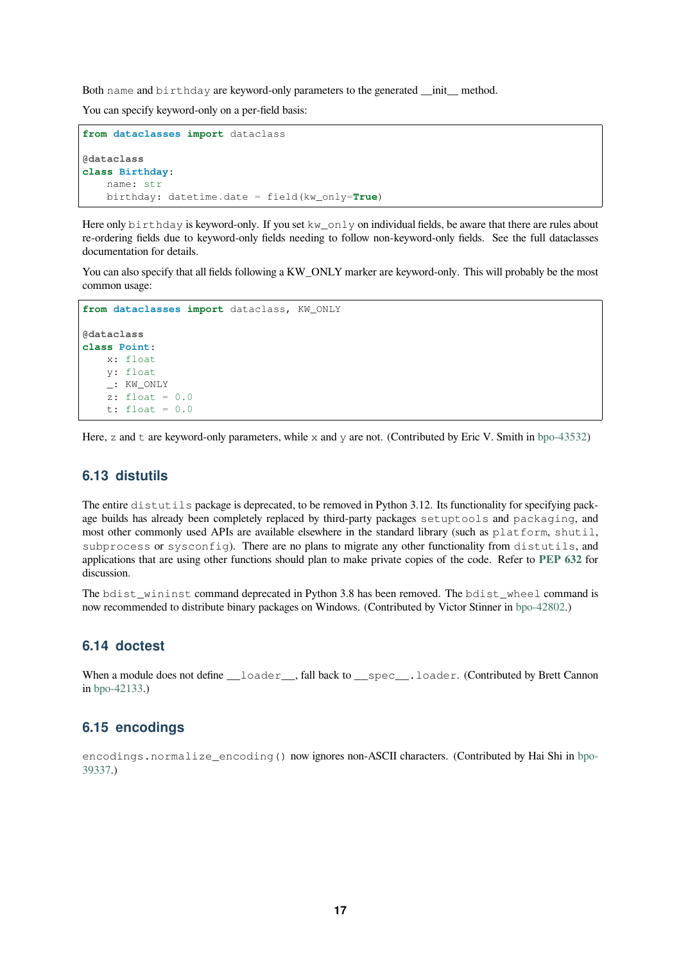<span id="page-16-2"></span>Both name and birthday are keyword-only parameters to the generated \_\_init\_ method.

You can specify keyword-only on a per-field basis:

```
from dataclasses import dataclass
@dataclass
class Birthday:
    name: str
    birthday: datetime.date = field(kw_only=True)
```
Here only birthday is keyword-only. If you set kw\_only on individual fields, be aware that there are rules about re-ordering fields due to keyword-only fields needing to follow non-keyword-only fields. See the full dataclasses documentation for details.

You can also specify that all fields following a KW\_ONLY marker are keyword-only. This will probably be the most common usage:

```
from dataclasses import dataclass, KW_ONLY
@dataclass
class Point:
   x: float
   y: float
    _: KW_ONLY
    z: float = 0.0
    t: float = 0.0
```
Here, z and t are keyword-only parameters, while x and y are not. (Contributed by Eric V. Smith in bpo-43532)

### **6.13 distutils**

<span id="page-16-0"></span>The entire distutils package is deprecated, to be removed in Python 3.12. Its functionality for sp[ecifying pac](https://bugs.python.org/issue43532)kage builds has already been completely replaced by third-party packages setuptools and packaging, and most other commonly used APIs are available elsewhere in the standard library (such as platform, shutil, subprocess or sysconfig). There are no plans to migrate any other functionality from distutils, and applications that are using other functions should plan to make private copies of the code. Refer to **PEP 632** for discussion.

The bdist wininst command deprecated in Python 3.8 has been removed. The bdist wheel command is now recommended to distribute binary packages on Windows. (Contributed by Victor Stinner in bpo-[42802.\)](https://www.python.org/dev/peps/pep-0632)

#### **6.14 doctest**

<span id="page-16-1"></span>When a module does not define \_\_loader\_\_, fall back to \_\_spec\_\_.loader. (Contribut[ed by Brett C](https://bugs.python.org/issue42802)annon in bpo-42133.)

#### **6.15 encodings**

e[ncodings](https://bugs.python.org/issue42133).normalize\_encoding() now ignores non-ASCII characters. (Contributed by Hai Shi in bpo-39337.)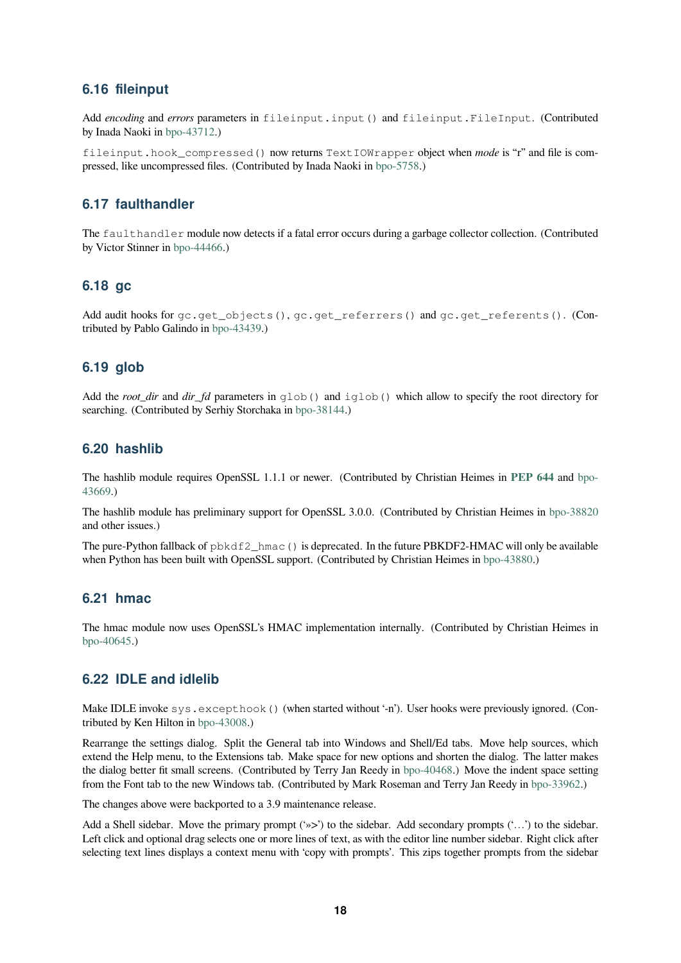### <span id="page-17-4"></span>**6.16 fileinput**

Add *encoding* and *errors* parameters in fileinput.input() and fileinput.FileInput. (Contributed by Inada Naoki in bpo-43712.)

fileinput.hook\_compressed() now returns TextIOWrapper object when *mode* is "r" and file is compressed, like uncompressed files. (Contributed by Inada Naoki in bpo-5758.)

### **6.17 faulthandler**

The faulthandler module now detects if a fatal error occurs [during a ga](https://bugs.python.org/issue5758)rbage collector collection. (Contributed by Victor Stinner in bpo-44466.)

#### **6.18 gc**

Add audit hooks for [gc.get\\_](https://bugs.python.org/issue44466)objects(), gc.get\_referrers() and gc.get\_referents(). (Contributed by Pablo Galindo in bpo-43439.)

### **6.19 glob**

<span id="page-17-0"></span>Add the *root\_dir* and *dir\_fd* [parameters](https://bugs.python.org/issue43439) in glob() and iglob() which allow to specify the root directory for searching. (Contributed by Serhiy Storchaka in bpo-38144.)

#### **6.20 hashlib**

The hashlib module requires OpenSSL 1.1.1 [or newer. \(C](https://bugs.python.org/issue38144)ontributed by Christian Heimes in **PEP 644** and bpo-43669.)

<span id="page-17-1"></span>The hashlib module has preliminary support for OpenSSL 3.0.0. (Contributed by Christian Heimes in bpo-38820 and other issues.)

[The pu](https://bugs.python.org/issue43669)re-Python fallback of pbkdf2\_hmac() is deprecated. In the future PBKDF2-HMAC [will only be](https://www.python.org/dev/peps/pep-0644) avai[lable](https://bugs.python.org/issue43669) when Python has been built with OpenSSL support. (Contributed by Christian Heimes in bpo-43880.)

#### **6.21 hmac**

<span id="page-17-2"></span>The hmac module now uses OpenSSL's HMAC implementation internally. (Contribute[d by Christ](https://bugs.python.org/issue43880)ian Heimes in bpo-40645.)

#### **6.22 IDLE and idlelib**

[Make IDLE](https://bugs.python.org/issue40645) invoke sys.excepthook() (when started without '-n'). User hooks were previously ignored. (Contributed by Ken Hilton in bpo-43008.)

<span id="page-17-3"></span>Rearrange the settings dialog. Split the General tab into Windows and Shell/Ed tabs. Move help sources, which extend the Help menu, to the Extensions tab. Make space for new options and shorten the dialog. The latter makes the dialog better fit small screens. (Contributed by Terry Jan Reedy in bpo-40468.) Move the indent space setting from the Font tab to then[ew Window](https://bugs.python.org/issue43008)s tab. (Contributed by Mark Roseman and Terry Jan Reedy in bpo-33962.)

The changes above were backported to a 3.9 maintenance release.

Add a Shell sidebar. Move the primary prompt ('»>') to the sidebar. [Add seconda](https://bugs.python.org/issue40468)ry prompts ('...') to the sidebar. Left click and optional drag selects one or more lines of text, as with the editor line number sidebar. [Right click a](https://bugs.python.org/issue33962)fter selecting text lines displays a context menu with 'copy with prompts'. This zips together prompts from the sidebar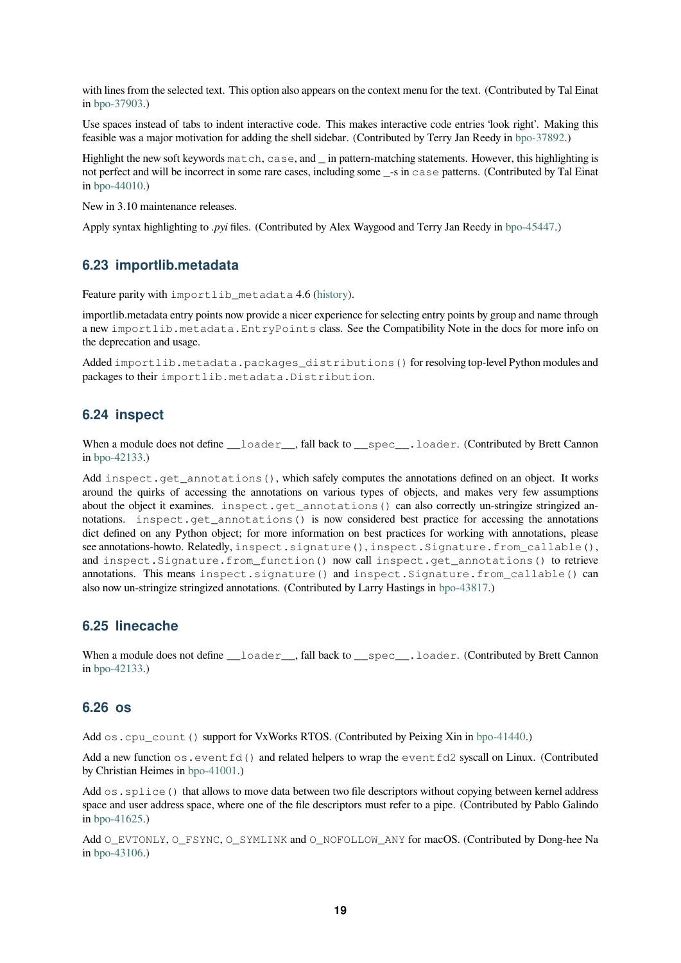with lines from the selected text. This option also appears on the context menu for the text. (Contributed by Tal Einat in bpo-37903.)

Use spaces instead of tabs to indent interactive code. This makes interactive code entries 'look right'. Making this feasible was a major motivation for adding the shell sidebar. (Contributed by Terry Jan Reedy in bpo-37892.)

Hi[ghlight the n](https://bugs.python.org/issue37903)ew soft keywords match, case, and \_ in pattern-matching statements. However, this highlighting is not perfect and will be incorrect in some rare cases, including some \_-s in case patterns. (Contributed by Tal Einat in bpo-44010.)

New in 3.10 maintenance releases.

Apply syntax highlighting to *.pyi* files. (Contributed by Alex Waygood and Terry Jan Reedy in bpo-45447.)

#### **6.23 importlib.metadata**

Feature parity with importlib\_metadata 4.6 (history).

<span id="page-18-0"></span>importlib.metadata entry points now provide a nicer experience for selecting entry points by group and name through a new importlib.metadata.EntryPoints class. See the Compatibility Note in the docs for more info on the deprecation and usage.

Added importlib.metadata.packages\_d[istrib](https://importlib-metadata.readthedocs.io/en/latest/history.html)utions() for resolving top-level Python modules and packages to their importlib.metadata.Distribution.

#### **6.24 inspect**

<span id="page-18-1"></span>When a module does not define \_\_\_loader\_\_, fall back to \_\_spec\_\_.loader. (Contributed by Brett Cannon in bpo-42133.)

Add inspect.get\_annotations(), which safely computes the annotations defined on an object. It works around the quirks of accessing the annotations on various types of objects, and makes very few assumptions about the object it examines. inspect.get\_annotations() can also correctly un-stringize stringized anno[tations.](https://bugs.python.org/issue42133) inspect.get annotations() is now considered best practice for accessing the annotations dict defined on any Python object; for more information on best practices for working with annotations, please see annotations-howto. Relatedly, inspect.signature(), inspect.Signature.from\_callable(), and inspect.Signature.from\_function() now call inspect.get\_annotations() to retrieve annotations. This means inspect.signature() and inspect. Signature.from callable() can also now un-stringize stringized annotations. (Contributed by Larry Hastings in bpo-43817.)

#### **6.25 linecache**

<span id="page-18-2"></span>When a module does not define \_\_loader\_, fall back to \_\_spec\_\_.loader[. \(Cont](https://bugs.python.org/issue43817)ributed by Brett Cannon in bpo-42133.)

#### **6.26 os**

Add [os.cpu](https://bugs.python.org/issue42133)\_count() support for VxWorks RTOS. (Contributed by Peixing Xin in bpo-41440.)

<span id="page-18-3"></span>Add a new function  $\circ s$ . event  $fd()$  and related helpers to wrap the event  $fd2$  syscall on Linux. (Contributed by Christian Heimes in bpo-41001.)

Add  $\circ$ s. splice() that allows to move data between two file descriptors without cop[ying betwee](https://bugs.python.org/issue41440)n kernel address space and user address space, where one of the file descriptors must refer to a pipe. (Contributed by Pablo Galindo in bpo-41625.)

Add O\_EVTONLY, O\_FSYNC, O\_SYMLINK and O\_NOFOLLOW\_ANY for macOS. (Contributed by Dong-hee Na in bpo-43106.)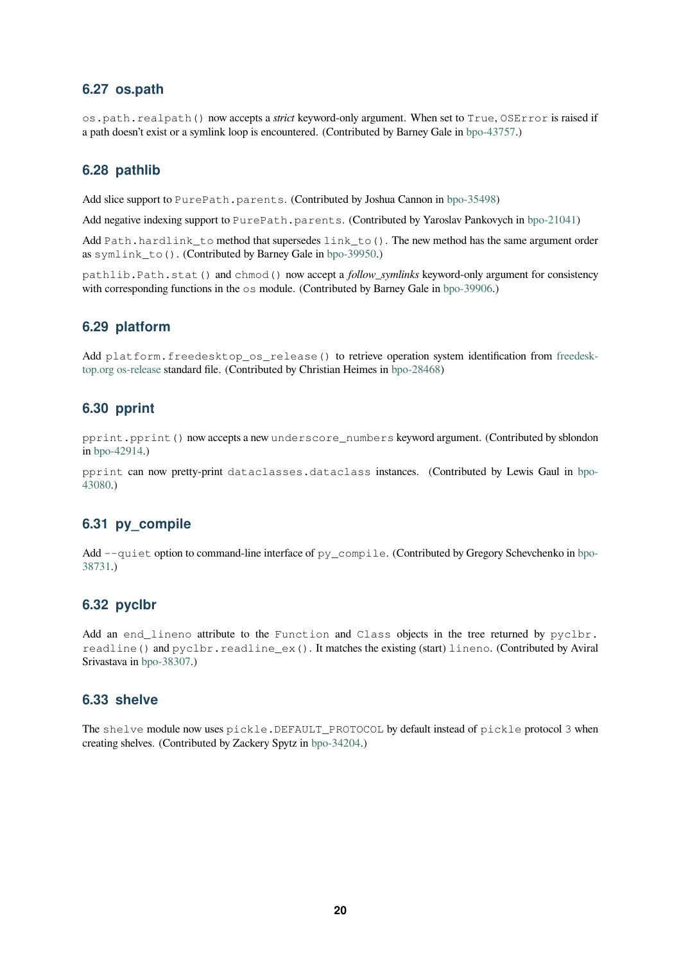### **6.27 os.path**

os.path.realpath() now accepts a *strict* keyword-only argument. When set to True, OSError is raised if a path doesn't exist or a symlink loop is encountered. (Contributed by Barney Gale in bpo-43757.)

### <span id="page-19-0"></span>**6.28 pathlib**

Add slice support to PurePath.parents. (Contributed by Joshua Cannon in bpo[-35498\)](https://bugs.python.org/issue43757)

<span id="page-19-1"></span>Add negative indexing support to PurePath.parents. (Contributed by Yaroslav Pankovych in bpo-21041)

Add Path.hardlink\_to method that supersedes link\_to(). The new method has the same argument order as symlink\_to(). (Contributed by Barney Gale in bpo-39950.)

pathlib.Path.stat() and chmod() now accept a *follow\_symlinks* keyword-only argumen[t for consist](https://bugs.python.org/issue21041)ency with corresponding functions in the  $\circ$ s module. (Contributed by Barney Gale in bpo-39906.)

#### **6.29 platform**

<span id="page-19-2"></span>Add platform.freedesktop\_os\_release() to retrieve operation sy[stem identi](https://bugs.python.org/issue39906)fication from freedesktop.org os-release standard file. (Contributed by Christian Heimes in bpo-28468)

#### **6.30 pprint**

<span id="page-19-3"></span>[pprint.pprin](https://www.freedesktop.org/software/systemd/man/os-release.html)t() now accepts a new underscore\_numbers [keyword a](https://bugs.python.org/issue28468)rgument. (Contributed by sblondon in bpo-42914.)

pprint can now pretty-print dataclasses.dataclass instances. (Contributed by Lewis Gaul in bpo-43080.)

## **6.31 py\_compile**

<span id="page-19-4"></span>[Add](https://bugs.python.org/issue43080) --quiet option to command-line interface of py\_compile. (Contributed by Gregory Schevchenko in bpo-38731.)

#### **6.32 pyclbr**

<span id="page-19-5"></span>[Add a](https://bugs.python.org/issue38731)n end\_lineno attribute to the Function and Class objects in the tree returned by pyclbr. readline() and pyclbr.readline\_ex(). It matches the existing (start) lineno. (Contributed by Aviral Srivastava in bpo-38307.)

#### **6.33 shelve**

<span id="page-19-6"></span>The shelve [module no](https://bugs.python.org/issue38307)w uses pickle.DEFAULT\_PROTOCOL by default instead of pickle protocol 3 when creating shelves. (Contributed by Zackery Spytz in bpo-34204.)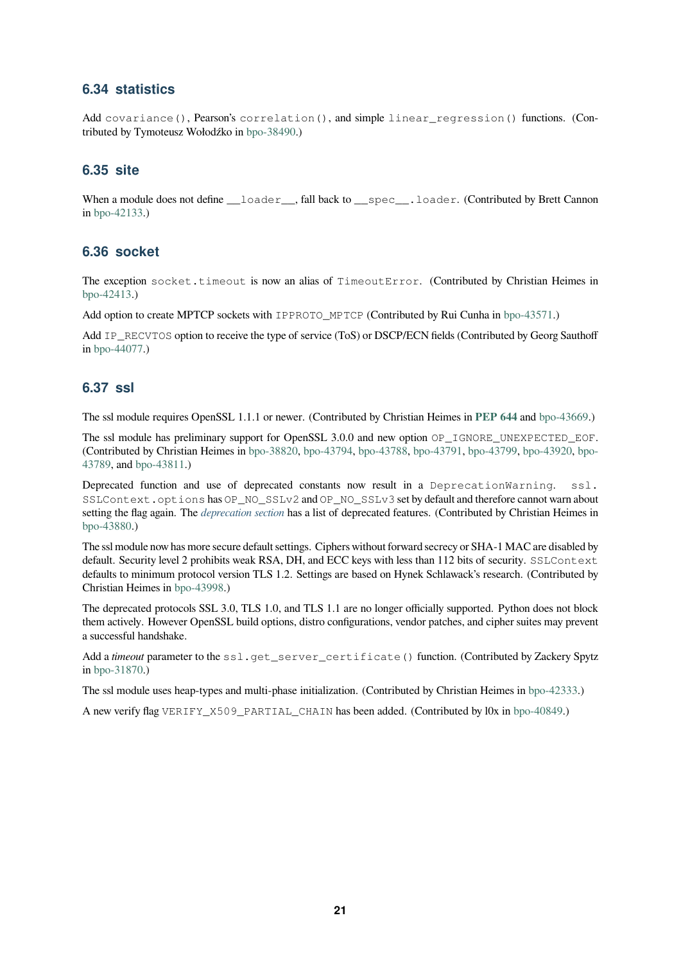### <span id="page-20-4"></span>**6.34 statistics**

Add covariance(), Pearson's correlation(), and simple linear\_regression() functions. (Contributed by Tymoteusz Wołodźko in bpo-38490.)

#### <span id="page-20-0"></span>**6.35 site**

<span id="page-20-1"></span>When a module does not define \_\_loader\_, fall back to \_\_spec\_\_.loader. (Contributed by Brett Cannon in bpo-42133.)

#### **6.36 socket**

T[he exception](https://bugs.python.org/issue42133) socket.timeout is now an alias of TimeoutError. (Contributed by Christian Heimes in bpo-42413.)

<span id="page-20-2"></span>Add option to create MPTCP sockets with IPPROTO\_MPTCP (Contributed by Rui Cunha in bpo-43571.)

Add IP\_RECVTOS option to receive the type of service (ToS) or DSCP/ECN fields (Contributed by Georg Sauthoff in [bpo-440](https://bugs.python.org/issue42413)77.)

#### **6.37 ssl**

T[he ssl modul](https://bugs.python.org/issue44077)e requires OpenSSL 1.1.1 or newer. (Contributed by Christian Heimes in **PEP 644** and bpo-43669.)

<span id="page-20-3"></span>The ssl module has preliminary support for OpenSSL 3.0.0 and new option OP\_IGNORE\_UNEXPECTED\_EOF. (Contributed by Christian Heimes in bpo-38820, bpo-43794, bpo-43788, bpo-43791, bpo-43799, bpo-43920, bpo-43789, and bpo-43811.)

Deprecated function and use of deprecated constants now result in a Deprec[ationWa](https://www.python.org/dev/peps/pep-0644)rning. [ssl](https://bugs.python.org/issue43669). SSLContext.options has OP\_NO\_SSLv2 and OP\_NO\_SSLv3 set by default and therefore cannot warn about setting the [flag again. T](https://bugs.python.org/issue43811)he *deprecatio[n section](https://bugs.python.org/issue38820)* has [a list of dep](https://bugs.python.org/issue43794)[recated feat](https://bugs.python.org/issue43788)[ures. \(Contr](https://bugs.python.org/issue43791)i[buted by Ch](https://bugs.python.org/issue43799)[ristian Heim](https://bugs.python.org/issue43920)[es in](https://bugs.python.org/issue43789) [bpo-43](https://bugs.python.org/issue43789)880.)

The ssl module now has more secure default settings. Ciphers without forward secrecy or SHA-1 MAC are disabled by default. Security level 2 prohibits weak RSA, DH, and ECC keys with less than 112 bits of security. SSLContext defaults to minimum prot[ocol version TLS 1.2](#page-24-0). Settings are based on Hynek Schlawack's research. (Contributed by [Christian H](https://bugs.python.org/issue43880)eimes in bpo-43998.)

The deprecated protocols SSL 3.0, TLS 1.0, and TLS 1.1 are no longer officially supported. Python does not block them actively. However OpenSSL build options, distro configurations, vendor patches, and cipher suites may prevent a successful handsha[ke.](https://bugs.python.org/issue43998)

Add a *timeout* parameter to the ssl.get server certificate() function. (Contributed by Zackery Spytz in bpo-31870.)

The ssl module uses heap-types and multi-phase initialization. (Contributed by Christian Heimes in bpo-42333.)

A new verify flag VERIFY\_X509\_PARTIAL\_CHAIN has been added. (Contributed by l0x in bpo-40849.)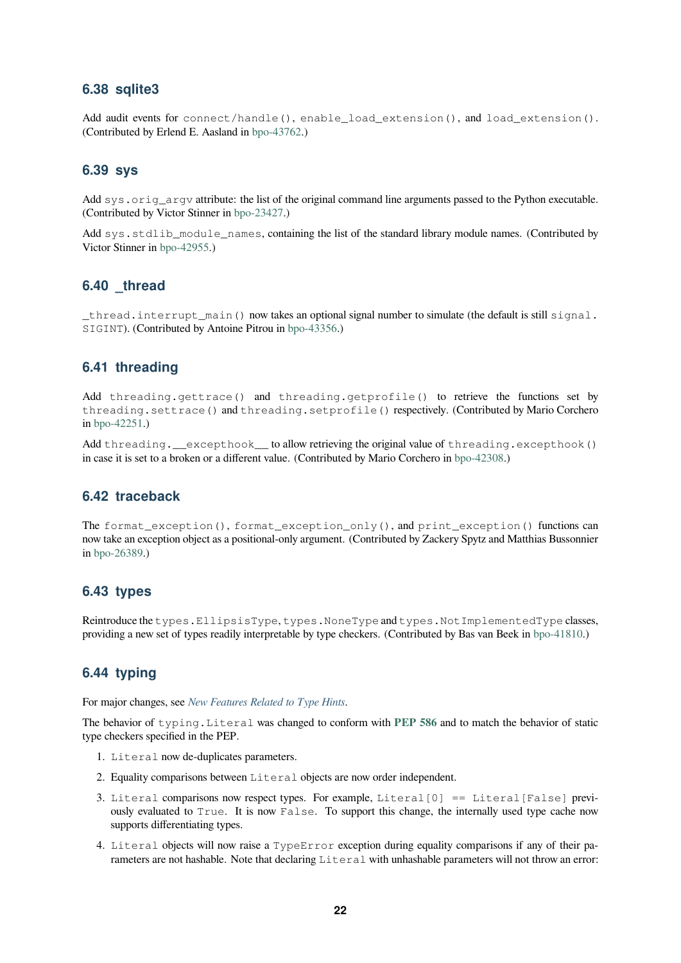### <span id="page-21-7"></span>**6.38 sqlite3**

<span id="page-21-0"></span>Add audit events for connect/handle(), enable\_load\_extension(), and load\_extension(). (Contributed by Erlend E. Aasland in bpo-43762.)

#### **6.39 sys**

<span id="page-21-1"></span>Add sys.orig argv attribute: th[e list of the](https://bugs.python.org/issue43762) original command line arguments passed to the Python executable. (Contributed by Victor Stinner in bpo-23427.)

Add sys.stdlib\_module\_names, containing the list of the standard library module names. (Contributed by Victor Stinner in bpo-42955.)

#### **6.40 \_thread**

<span id="page-21-2"></span>\_thread.int[errupt\\_m](https://bugs.python.org/issue42955)ain() now takes an optional signal number to simulate (the default is still signal. SIGINT). (Contributed by Antoine Pitrou in bpo-43356.)

#### **6.41 threading**

<span id="page-21-3"></span>Add threading.gettrace() and t[hreading](https://bugs.python.org/issue43356).getprofile() to retrieve the functions set by threading.settrace() and threading.setprofile() respectively. (Contributed by Mario Corchero in bpo-42251.)

Add threading.\_\_excepthook\_\_ to allow retrieving the original value of threading.excepthook() in case it is set to a broken or a different value. (Contributed by Mario Corchero in bpo-42308.)

#### **6.42 traceback**

<span id="page-21-4"></span>The format\_exception(), format\_exception\_only(), and print[\\_excepti](https://bugs.python.org/issue42308)on() functions can now take an exception object as a positional-only argument. (Contributed by Zackery Spytz and Matthias Bussonnier in bpo-26389.)

#### **6.43 types**

<span id="page-21-5"></span>R[eintroduce th](https://bugs.python.org/issue26389)e types.EllipsisType, types.NoneType and types.NotImplementedType classes, providing a new set of types readily interpretable by type checkers. (Contributed by Bas van Beek in bpo-41810.)

#### **6.44 typing**

For major changes, see *New Features Related to Type Hints*.

<span id="page-21-6"></span>The behavior of typing.Literal was changed to conform with **PEP 586** and to match the behavior of static type checkers specified in the PEP.

- 1. Literal now [de-duplicates parameters.](#page-11-1)
- 2. Equality comparisons between Literal objects are now orde[r independ](https://www.python.org/dev/peps/pep-0586)ent.
- 3. Literal comparisons now respect types. For example, Literal[0] == Literal[False] previously evaluated to True. It is now False. To support this change, the internally used type cache now supports differentiating types.
- 4. Literal objects will now raise a TypeError exception during equality comparisons if any of their parameters are not hashable. Note that declaring Literal with unhashable parameters will not throw an error: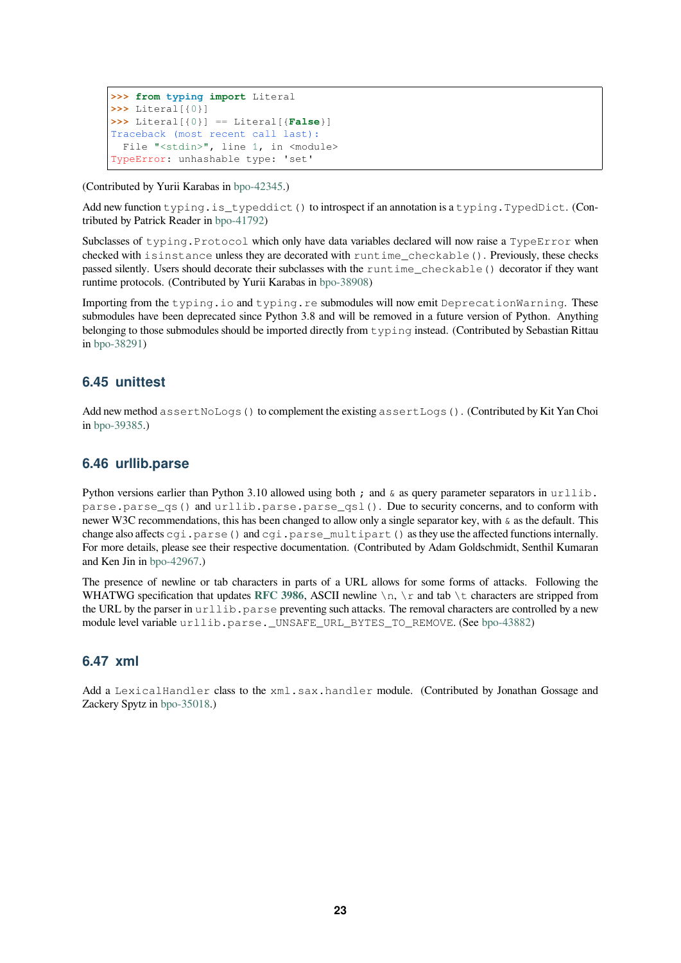```
>>> from typing import Literal
>>> Literal[{0}]
>>> Literal[{0}] == Literal[{False}]
Traceback (most recent call last):
  File "<stdin>", line 1, in <module>
TypeError: unhashable type: 'set'
```
(Contributed by Yurii Karabas in bpo-42345.)

Add new function typing.is\_typeddict() to introspect if an annotation is a typing.TypedDict. (Contributed by Patrick Reader in bpo-41792)

Subclasses of typing. Protocol [which o](https://bugs.python.org/issue42345)nly have data variables declared will now raise a TypeError when checked with isinstance unless they are decorated with runtime\_checkable(). Previously, these checks passed silently. Users should decorate their subclasses with the runtime\_checkable() decorator if they want runtime protocols. (Contribu[ted by Yurii](https://bugs.python.org/issue41792) Karabas in bpo-38908)

Importing from the typing.io and typing.re submodules will now emit DeprecationWarning. These submodules have been deprecated since Python 3.8 and will be removed in a future version of Python. Anything belonging to those submodules should be imported di[rectly from](https://bugs.python.org/issue38908) typing instead. (Contributed by Sebastian Rittau in bpo-38291)

## **6.45 unittest**

<span id="page-22-0"></span>A[dd new meth](https://bugs.python.org/issue38291)od assertNoLogs() to complement the existing assertLogs(). (Contributed by Kit Yan Choi in bpo-39385.)

### **6.46 urllib.parse**

<span id="page-22-1"></span>P[ython versio](https://bugs.python.org/issue39385)ns earlier than Python 3.10 allowed using both ; and  $\&$  as query parameter separators in urllib. parse.parse\_qs() and urllib.parse.parse\_qsl(). Due to security concerns, and to conform with newer W3C recommendations, this has been changed to allow only a single separator key, with  $\&$  as the default. This change also affects cgi.parse() and cgi.parse\_multipart() as they use the affected functions internally. For more details, please see their respective documentation. (Contributed by Adam Goldschmidt, Senthil Kumaran and Ken Jin in bpo-42967.)

The presence of newline or tab characters in parts of a URL allows for some forms of attacks. Following the WHATWG specification that updates **RFC 3986**, ASCII newline  $\n \cdot n$ ,  $\cdot r$  and tab  $\cdot t$  characters are stripped from the URL by the parser in urllib.parse preventing such attacks. The removal characters are controlled by a new module level v[ariable](https://bugs.python.org/issue42967) urllib.parse.\_UNSAFE\_URL\_BYTES\_TO\_REMOVE. (See bpo-43882)

## **6.47 xml**

<span id="page-22-2"></span>Add a LexicalHandler class to the xml.sax.handler module. (Contributed [by Jonatha](https://bugs.python.org/issue43882)n Gossage and Zackery Spytz in bpo-35018.)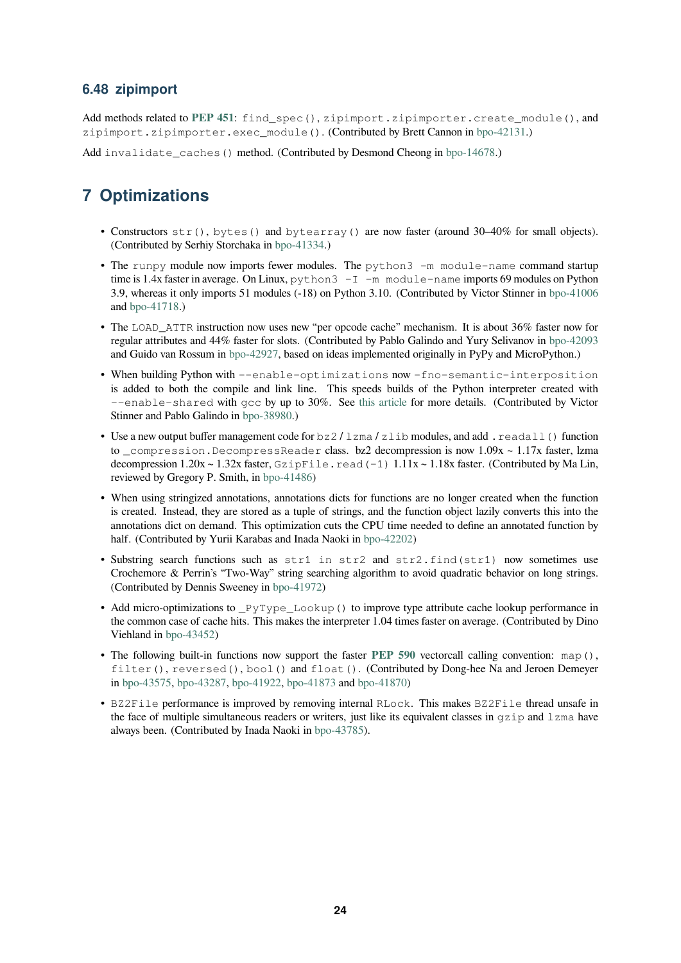### <span id="page-23-2"></span>**6.48 zipimport**

Add methods related to **PEP 451**: find\_spec(), zipimport.zipimporter.create\_module(), and zipimport.zipimporter.exec\_module(). (Contributed by Brett Cannon in bpo-42131.)

<span id="page-23-0"></span>Add invalidate\_caches() method. (Contributed by Desmond Cheong in bpo-14678.)

# **7 Optimizations**

- <span id="page-23-1"></span>• Constructors str(), bytes() and bytearray() are now faster (around 30–40% for small objects). (Contributed by Serhiy Storchaka in bpo-41334.)
- The runpy module now imports fewer modules. The python3 -m module-name command startup time is 1.4x faster in average. On Linux,  $\gamma$  pthon  $3 - I$   $\gamma$  module-name imports 69 modules on Python 3.9, whereas it only imports 51 mod[ules \(-18\) o](https://bugs.python.org/issue41334)n Python 3.10. (Contributed by Victor Stinner in bpo-41006 and bpo-41718.)
- The LOAD\_ATTR instruction now uses new "per opcode cache" mechanism. It is about 36% faster now for regular attributes and 44% faster for slots. (Contributed by Pablo Galindo and Yury Selivanov in bpo-42093 and [Guido van](https://bugs.python.org/issue41718) Rossum in bpo-42927, based on ideas implemented originally in PyPy and MicroP[ython.\)](https://bugs.python.org/issue41006)
- When building Python with --enable-optimizations now -fno-semantic-interposition is added to both the compile and link line. This speeds builds of the Python interpreter created with --enable-shared with gcc by up to 30%. See this article for more details. (Contribute[d by Victor](https://bugs.python.org/issue42093) Stinner and Pablo Galindo in [bpo-389](https://bugs.python.org/issue42927)80.)
- Use a new output buffer management code for bz2/lzma/zlib modules, and add. readall() function to \_compression.DecompressReader class. bz2 decompression is now 1.09x ~ 1.17x faster, lzma decompression  $1.20x \sim 1.32x$  faster,  $GzipFile$ . read  $(-1)$   $1.11x \sim 1.18x$  faster. (Contributed by Ma Lin, reviewed by Gregory P. Smith, in [bpo-41](https://bugs.python.org/issue38980)486)
- When using stringized annotations, annotations dicts for functions are no longer created when the function is created. Instead, they are stored as a tuple of strings, and the function object lazily converts this into the annotations dict on demand. This optimization cuts the CPU time needed to define an annotated function by half. (Contributed by Yurii Kara[bas and Inad](https://bugs.python.org/issue41486)a Naoki in bpo-42202)
- Substring search functions such as str1 in str2 and str2.find(str1) now sometimes use Crochemore & Perrin's "Two-Way" string searching algorithm to avoid quadratic behavior on long strings. (Contributed by Dennis Sweeney in bpo-41972)
- Add micro-optimizations to \_PyType\_Lookup() to [improve typ](https://bugs.python.org/issue42202)e attribute cache lookup performance in the common case of cache hits. This makes the interpreter 1.04 times faster on average. (Contributed by Dino Viehland in bpo-43452)
- The following built-in functions n[ow support](https://bugs.python.org/issue41972) the faster **PEP 590** vectorcall calling convention: map(), filter(), reversed(), bool() and float(). (Contributed by Dong-hee Na and Jeroen Demeyer in bpo-43575, [bpo-4328](https://bugs.python.org/issue43452)7, bpo-41922, bpo-41873 and bpo-41870)
- BZ2File performance is improved by removing internal RLock. This makes BZ2File thread unsafe in the face of multiple simultaneous readers or writers, just [like its equ](https://www.python.org/dev/peps/pep-0590)ivalent classes in  $qzip$  and  $lzm$  have al[ways been. \(](https://bugs.python.org/issue43575)[Contributed](https://bugs.python.org/issue43287) [by Inada Na](https://bugs.python.org/issue41922)[oki in](https://bugs.python.org/issue41873) bpo-437[85\).](https://bugs.python.org/issue41870)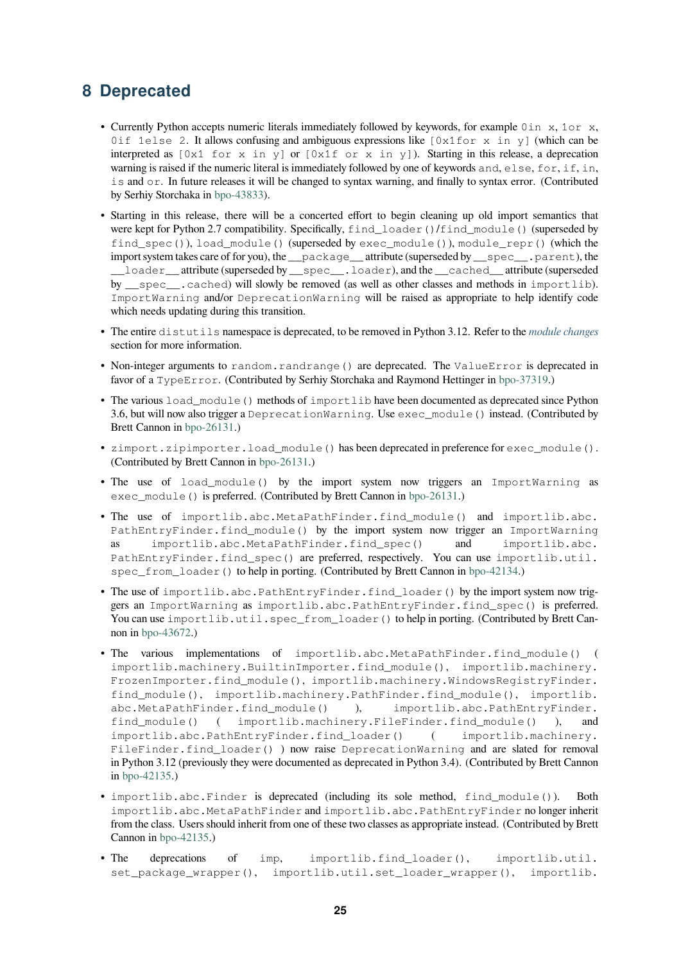# **8 Deprecated**

- <span id="page-24-0"></span>• Currently Python accepts numeric literals immediately followed by keywords, for example 0in x, 1or x, 0if 1else 2. It allows confusing and ambiguous expressions like  $[0x1for x in y]$  (which can be interpreted as  $[0x1$  for x in y] or  $[0x1f$  or x in y]). Starting in this release, a deprecation warning is raised if the numeric literal is immediately followed by one of keywords and, else, for, if, in, is and or. In future releases it will be changed to syntax warning, and finally to syntax error. (Contributed by Serhiy Storchaka in bpo-43833).
- Starting in this release, there will be a concerted effort to begin cleaning up old import semantics that were kept for Python 2.7 compatibility. Specifically, find loader()/find module() (superseded by find\_spec()), load\_module() (superseded by exec\_module()), module\_repr() (which the import system takes ca[re of for you](https://bugs.python.org/issue43833)), the \_\_package\_\_ attribute (superseded by \_\_spec\_\_.parent), the \_\_loader\_\_ attribute (superseded by \_\_spec\_\_.loader), and the \_\_cached\_\_ attribute (superseded by \_\_spec\_\_.cached) will slowly be removed (as well as other classes and methods in importlib). ImportWarning and/or DeprecationWarning will be raised as appropriate to help identify code which needs updating during this transition.
- The entire distutils namespace is deprecated, to be removed in Python 3.12. Refer to the *module changes* section for more information.
- Non-integer arguments to random.randrange() are deprecated. The ValueError is deprecated in favor of a TypeError. (Contributed by Serhiy Storchaka and Raymond Hettinger in bpo-3[7319.\)](#page-16-0)
- The various load\_module() methods of importlib have been documented as deprecated since Python 3.6, but will now also trigger a DeprecationWarning. Use exec\_module() instead. (Contributed by Brett Cannon in bpo-26131.)
- zimport.zipimporter.load\_module() has been deprecated in preference for exec\_module(). (Contributed by Brett Cannon in bpo-26131.)
- The use of load module() by the import system now triggers an ImportWarning as exec\_module() is preferred. (Contributed by Brett Cannon in bpo-26131.)
- The use of importlib.a[bc.MetaP](https://bugs.python.org/issue26131)athFinder.find\_module() and importlib.abc. PathEntryFinder.find\_module() by the import system now trigger an ImportWarning as importlib.abc.MetaPathFinder.find\_spec() and importlib.abc. PathEntryFinder.find\_spec() are preferred, respectiv[ely. You c](https://bugs.python.org/issue26131)an use importlib.util. spec\_from\_loader() to help in porting. (Contributed by Brett Cannon in bpo-42134.)
- The use of importlib.abc.PathEntryFinder.find loader() by the import system now triggers an ImportWarning as importlib.abc.PathEntryFinder.find\_spec() is preferred. You can use importlib.util.spec\_from\_loader() to help in portin[g. \(Contribu](https://bugs.python.org/issue42134)ted by Brett Cannon in bpo-43672.)
- The various implementations of importlib.abc.MetaPathFinder.find\_module() ( importlib.machinery.BuiltinImporter.find\_module(), importlib.machinery. FrozenImporter.find\_module(), importlib.machinery.WindowsRegistryFinder. find[\\_module\(](https://bugs.python.org/issue43672)), importlib.machinery.PathFinder.find\_module(), importlib. abc.MetaPathFinder.find\_module() ), importlib.abc.PathEntryFinder. find\_module() ( importlib.machinery.FileFinder.find\_module() ), and importlib.abc.PathEntryFinder.find\_loader() ( importlib.machinery. FileFinder.find\_loader() ) now raise DeprecationWarning and are slated for removal in Python 3.12 (previously they were documented as deprecated in Python 3.4). (Contributed by Brett Cannon in bpo-42135.)
- importlib.abc.Finder is deprecated (including its sole method, find\_module()). Both importlib.abc.MetaPathFinder and importlib.abc.PathEntryFinder no longer inherit from the class. Users should inherit from one of these two classes as appropriate instead. (Contributed by Brett C[annon in](https://bugs.python.org/issue42135) bpo-42135.)
- The deprecations of imp, importlib.find\_loader(), importlib.util. set\_package\_wrapper(), importlib.util.set\_loader\_wrapper(), importlib.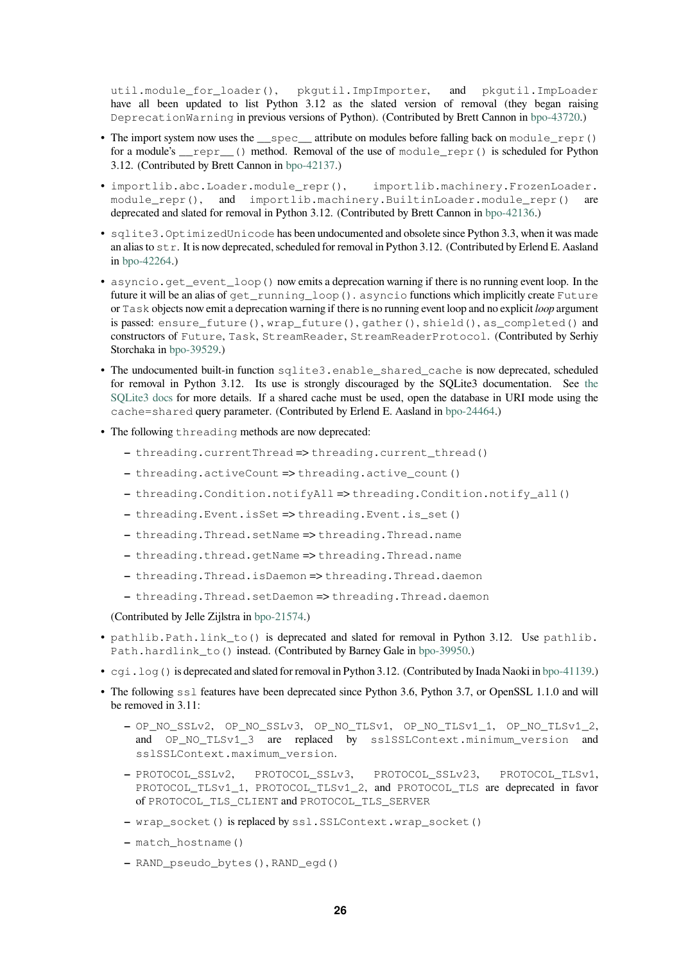util.module for loader(), pkgutil.ImpImporter, and pkgutil.ImpLoader have all been updated to list Python 3.12 as the slated version of removal (they began raising DeprecationWarning in previous versions of Python). (Contributed by Brett Cannon in bpo-43720.)

- The import system now uses the  $\equiv$  spec $\equiv$  attribute on modules before falling back on module repr() for a module's  $\text{repr}(x)$  method. Removal of the use of module repr() is scheduled for Python 3.12. (Contributed by Brett Cannon in bpo-42137.)
- importlib.abc.Loader.module\_repr(), importlib.machinery.Fro[zenLoade](https://bugs.python.org/issue43720)r. module\_repr(), and importlib.machinery.BuiltinLoader.module\_repr() are deprecated and slated for removal in P[ython 3.12.](https://bugs.python.org/issue42137) (Contributed by Brett Cannon in bpo-42136.)
- sqlite3.OptimizedUnicode has been undocumented and obsolete since Python 3.3, when it was made an alias to str. It is now deprecated, scheduled for removal in Python 3.12. (Contributed by Erlend E. Aasland in bpo-42264.)
- asyncio.get\_event\_loop() now emits a deprecation warning if there is no [running eve](https://bugs.python.org/issue42136)nt loop. In the future it will be an alias of get\_running\_loop(). asyncio functions which implicitly create Future or Task objects now emit a deprecation warning if there is no running event loop and no explicit *loop* argument is [passed:](https://bugs.python.org/issue42264) ensure\_future(), wrap\_future(), gather(), shield(), as\_completed() and constructors of Future, Task, StreamReader, StreamReaderProtocol. (Contributed by Serhiy Storchaka in bpo-39529.)
- The undocumented built-in function sqlite3.enable\_shared\_cache is now deprecated, scheduled for removal in Python 3.12. Its use is strongly discouraged by the SQLite3 documentation. See the SQLite3 docs for more details. If a shared cache must be used, open the database in URI mode using the cache=sh[ared](https://bugs.python.org/issue39529) query parameter. (Contributed by Erlend E. Aasland in bpo-24464.)
- The following threading methods are now deprecated:
	- **–** [thread](https://sqlite.org/c3ref/enable_shared_cache.html)ing.currentThread => threading.current\_thread()
	- **–** threading.activeCount => threading.active\_coun[t\(\)](https://bugs.python.org/issue24464)
	- **–** threading.Condition.notifyAll => threading.Condition.notify\_all()
	- **–** threading.Event.isSet => threading.Event.is\_set()
	- **–** threading.Thread.setName => threading.Thread.name
	- **–** threading.thread.getName => threading.Thread.name
	- **–** threading.Thread.isDaemon => threading.Thread.daemon
	- **–** threading.Thread.setDaemon => threading.Thread.daemon

(Contributed by Jelle Zijlstra in bpo-21574.)

- pathlib.Path.link\_to() is deprecated and slated for removal in Python 3.12. Use pathlib. Path.hardlink\_to() instead. (Contributed by Barney Gale in bpo-39950.)
- cgi. log() is deprecated and [slated for re](https://bugs.python.org/issue21574)moval in Python 3.12. (Contributed by Inada Naoki in bpo-41139.)
- The following ss1 features have been deprecated since Python 3.6, Python 3.7, or OpenSSL 1.1.0 and will be removed in 3.11:
	- **–** OP\_NO\_SSLv2, OP\_NO\_SSLv3, OP\_NO\_TLSv1, OP\_NO\_TLSv1\_1, OP\_NO[\\_TLSv1\\_2](https://bugs.python.org/issue41139), and OP\_NO\_TLSv1\_3 are replaced by sslSSLContext.minimum\_version and sslSSLContext.maximum\_version.
	- **–** PROTOCOL\_SSLv2, PROTOCOL\_SSLv3, PROTOCOL\_SSLv23, PROTOCOL\_TLSv1, PROTOCOL\_TLSv1\_1, PROTOCOL\_TLSv1\_2, and PROTOCOL\_TLS are deprecated in favor of PROTOCOL\_TLS\_CLIENT and PROTOCOL\_TLS\_SERVER
	- **–** wrap\_socket() is replaced by ssl.SSLContext.wrap\_socket()
	- **–** match\_hostname()
	- **–** RAND\_pseudo\_bytes(), RAND\_egd()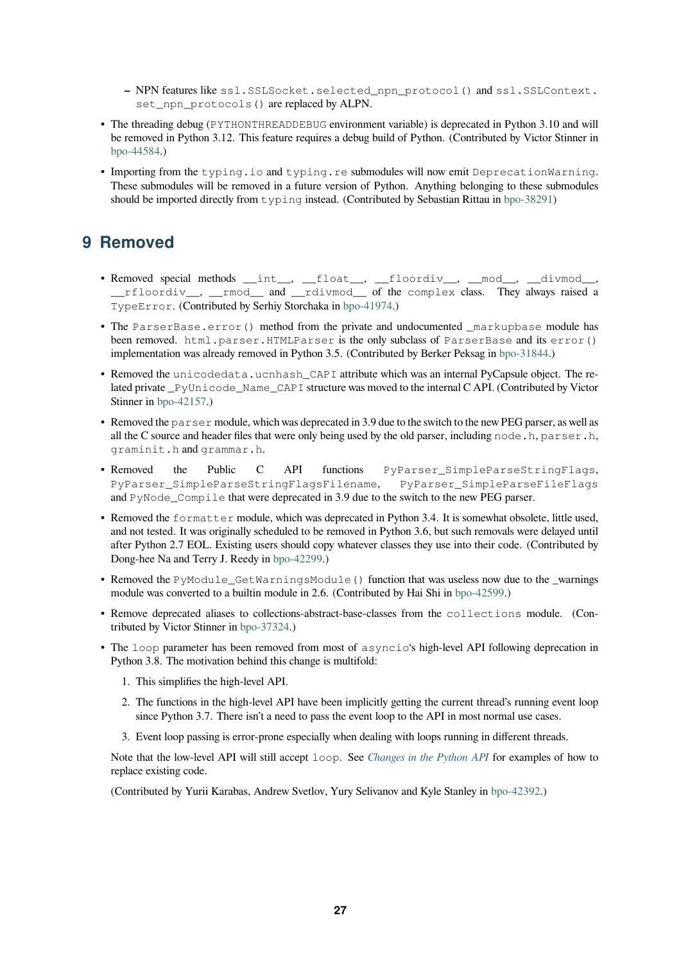- **–** NPN features like ssl.SSLSocket.selected\_npn\_protocol() and ssl.SSLContext. set\_npn\_protocols() are replaced by ALPN.
- <span id="page-26-1"></span>• The threading debug (PYTHONTHREADDEBUG environment variable) is deprecated in Python 3.10 and will be removed in Python 3.12. This feature requires a debug build of Python. (Contributed by Victor Stinner in bpo-44584.)
- Importing from the typing.io and typing.re submodules will now emit DeprecationWarning. These submodules will be removed in a future version of Python. Anything belonging to these submodules [should be im](https://bugs.python.org/issue44584)ported directly from typing instead. (Contributed by Sebastian Rittau in bpo-38291)

# **9 Removed**

- <span id="page-26-0"></span>• Removed special methods \_\_int\_\_, \_\_float\_\_, \_\_floordiv\_\_, \_\_mod\_\_, \_\_divmod\_\_, \_\_rfloordiv\_\_, \_\_rmod\_\_ and \_\_rdivmod\_\_ of the complex class. They always raised a TypeError. (Contributed by Serhiy Storchaka in bpo-41974.)
- The ParserBase.error() method from the private and undocumented \_markupbase module has been removed. html.parser.HTMLParser is the only subclass of ParserBase and its error() implementation was already removed in Python 3.5. [\(Contribut](https://bugs.python.org/issue41974)ed by Berker Peksag in bpo-31844.)
- Removed the unicodedata.ucnhash CAPI attribute which was an internal PyCapsule object. The related private \_PyUnicode\_Name\_CAPI structure was moved to the internal C API. (Contributed by Victor Stinner in bpo-42157.)
- Removed the parser module, which was deprecated in 3.9 due to the switch to the new [PEG parser](https://bugs.python.org/issue31844), as well as all the C source and header files that were only being used by the old parser, including node.h, parser.h, gramin[it.h](https://bugs.python.org/issue42157) and grammar.h.
- Removed the Public C API functions PyParser\_SimpleParseStringFlags, PyParser\_SimpleParseStringFlagsFilename, PyParser\_SimpleParseFileFlags and PyNode\_Compile that were deprecated in 3.9 due to the switch to the new PEG parser.
- Removed the formatter module, which was deprecated in Python 3.4. It is somewhat obsolete, little used, and not tested. It was originally scheduled to be removed in Python 3.6, but such removals were delayed until after Python 2.7 EOL. Existing users should copy whatever classes they use into their code. (Contributed by Dong-hee Na and Terry J. Reedy in bpo-42299.)
- Removed the PyModule\_GetWarningsModule () function that was useless now due to the \_warnings module was converted to a builtin module in 2.6. (Contributed by Hai Shi in bpo-42599.)
- Remove deprecated aliases to coll[ections-abstr](https://bugs.python.org/issue42299)act-base-classes from the collections module. (Contributed by Victor Stinner in bpo-37324.)
- The loop parameter has been removed from most of asyncio's high-le[vel API follo](https://bugs.python.org/issue42599)wing deprecation in Python 3.8. The motivation behind this change is multifold:
	- 1. This simplifies the high[-level API.](https://bugs.python.org/issue37324)
	- 2. The functions in the high-level API have been implicitly getting the current thread's running event loop since Python 3.7. There isn't a need to pass the event loop to the API in most normal use cases.
	- 3. Event loop passing is error-prone especially when dealing with loops running in different threads.

Note that the low-level API will still accept loop. See *Changes in the Python API* for examples of how to replace existing code.

(Contributed by Yurii Karabas, Andrew Svetlov, Yury Selivanov and Kyle Stanley in bpo-42392.)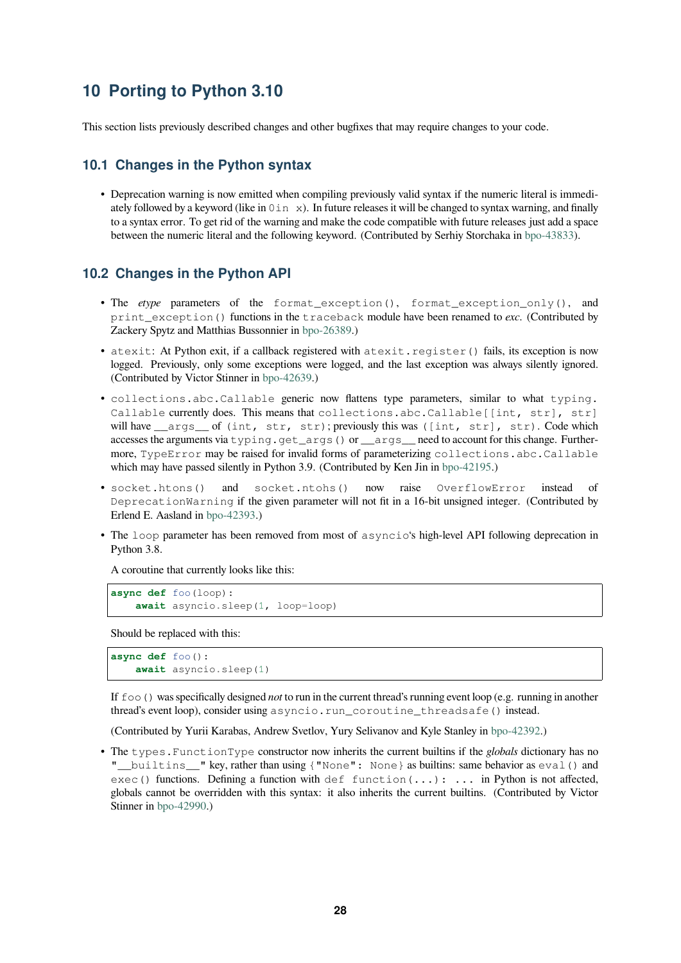# **10 Porting to Python 3.10**

<span id="page-27-0"></span>This section lists previously described changes and other bugfixes that may require changes to your code.

#### **10.1 Changes in the Python syntax**

<span id="page-27-1"></span>• Deprecation warning is now emitted when compiling previously valid syntax if the numeric literal is immediately followed by a keyword (like in  $0 \text{ in } x$ ). In future releases it will be changed to syntax warning, and finally to a syntax error. To get rid of the warning and make the code compatible with future releases just add a space between the numeric literal and the following keyword. (Contributed by Serhiy Storchaka in bpo-43833).

#### **10.2 Changes in the Python API**

- <span id="page-27-2"></span>• The *etype* parameters of the format\_exception(), format\_exception[\\_only\(\)](https://bugs.python.org/issue43833), and print exception () functions in the traceback module have been renamed to *exc*. (Contributed by Zackery Spytz and Matthias Bussonnier in bpo-26389.)
- atexit: At Python exit, if a callback registered with atexit.register() fails, its exception is now logged. Previously, only some exceptions were logged, and the last exception was always silently ignored. (Contributed by Victor Stinner in bpo-426[39.\)](https://bugs.python.org/issue26389)
- collections.abc.Callable generic now flattens type parameters, similar to what typing. Callable currently does. This means that collections.abc.Callable[[int, str], str] will have \_\_args\_\_ of (int, str, str); previously this was ([int, str], str). Code which accesses the arguments via typi[ng.get\\_a](https://bugs.python.org/issue42639)rgs() or \_\_args\_\_ need to account for this change. Furthermore, TypeError may be raised for invalid forms of parameterizing collections.abc.Callable which may have passed silently in Python 3.9. (Contributed by Ken Jin in bpo-42195.)
- socket.htons() and socket.ntohs() now raise OverflowError instead of DeprecationWarning if the given parameter will not fit in a 16-bit unsigned integer. (Contributed by Erlend E. Aasland in bpo-42393.)
- The loop parameter has been removed from most of asyncio's high-[level API f](https://bugs.python.org/issue42195)ollowing deprecation in Python 3.8.

A coroutine that curr[ently looks](https://bugs.python.org/issue42393) like this:

```
async def foo(loop):
    await asyncio.sleep(1, loop=loop)
```
Should be replaced with this:

```
async def foo():
    await asyncio.sleep(1)
```
If foo() was specifically designed *not* to run in the current thread's running event loop (e.g. running in another thread's event loop), consider using asyncio.run\_coroutine\_threadsafe() instead.

(Contributed by Yurii Karabas, Andrew Svetlov, Yury Selivanov and Kyle Stanley in bpo-42392.)

• The types.FunctionType constructor now inherits the current builtins if the *globals* dictionary has no "\_\_builtins\_\_" key, rather than using {"None": None} as builtins: same behavior as eval() and  $exec()$  functions. Defining a function with def function(...): ... in Python is not affected, globals cannot be overridden with this syntax: it also inherits the current builtins. [\(Contribut](https://bugs.python.org/issue42392)ed by Victor Stinner in bpo-42990.)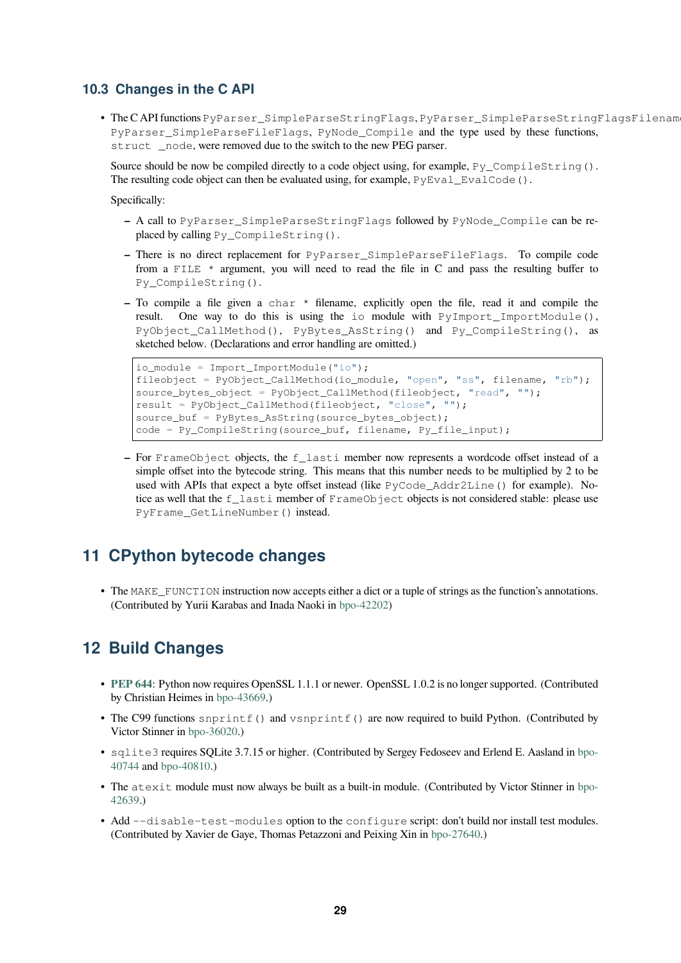### <span id="page-28-3"></span>**10.3 Changes in the C API**

<span id="page-28-0"></span>• The C API functions PyParser\_SimpleParseStringFlags, PyParser\_SimpleParseStringFlagsFilename, PyParser\_SimpleParseFileFlags, PyNode\_Compile and the type used by these functions, struct \_node, were removed due to the switch to the new PEG parser.

Source should be now be compiled directly to a code object using, for example,  $Py$  CompileString(). The resulting code object can then be evaluated using, for example,  $PyEval\_EvalCode()$ .

Specifically:

- **–** A call to PyParser\_SimpleParseStringFlags followed by PyNode\_Compile can be replaced by calling Py\_CompileString().
- **–** There is no direct replacement for PyParser\_SimpleParseFileFlags. To compile code from a FILE  $*$  argument, you will need to read the file in C and pass the resulting buffer to Py\_CompileString().
- **–** To compile a file given a char \* filename, explicitly open the file, read it and compile the result. One way to do this is using the io module with PyImport ImportModule(), PyObject\_CallMethod(), PyBytes\_AsString() and Py\_CompileString(), as sketched below. (Declarations and error handling are omitted.)

```
io module = Import ImportModule("io");
fileobject = PyObject_CallMethod(io_module, "open", "ss", filename, "rb");
source_bytes_object = PyObject_CallMethod(fileobject, "read", "");
result = PyObject_CallMethod(fileobject, "close", "");
source_buf = PyBytes_AsString(source_bytes_object);
code = Py\_CompileString(source_buf, filename, Py_file_input);
```
**–** For FrameObject objects, the f\_lasti member now represents a wordcode offset instead of a simple offset into the bytecode string. This means that this number needs to be multiplied by 2 to be used with APIs that expect a byte offset instead (like PyCode\_Addr2Line() for example). Notice as well that the f\_lasti member of FrameObject objects is not considered stable: please use PyFrame\_GetLineNumber() instead.

# **11 CPython bytecode changes**

<span id="page-28-1"></span>• The MAKE\_FUNCTION instruction now accepts either a dict or a tuple of strings as the function's annotations. (Contributed by Yurii Karabas and Inada Naoki in bpo-42202)

# **12 Build Changes**

- <span id="page-28-2"></span>• **PEP 644**: Python now requires OpenSSL 1.1.1 or newer. OpenSSL 1.0.2 is no longer supported. (Contributed by Christian Heimes in bpo-43669.)
- The C99 functions snprintf() and vsnprintf() are now required to build Python. (Contributed by [Victor Sti](https://www.python.org/dev/peps/pep-0644)nner in bpo-36020.)
- sqlite3 requires SQ[Lite 3.7.15](https://bugs.python.org/issue43669) or higher. (Contributed by Sergey Fedoseev and Erlend E. Aasland in bpo-40744 and bpo-40810.)
- The atexit m[odule must n](https://bugs.python.org/issue36020)ow always be built as a built-in module. (Contributed by Victor Stinner in bpo-42639.)
- [Add](https://bugs.python.org/issue40744) --di[sable-te](https://bugs.python.org/issue40810)st-modules option to the configure script: don't build nor install test mo[dules.](https://bugs.python.org/issue40744) (Contributed by Xavier de Gaye, Thomas Petazzoni and Peixing Xin in bpo-27640.)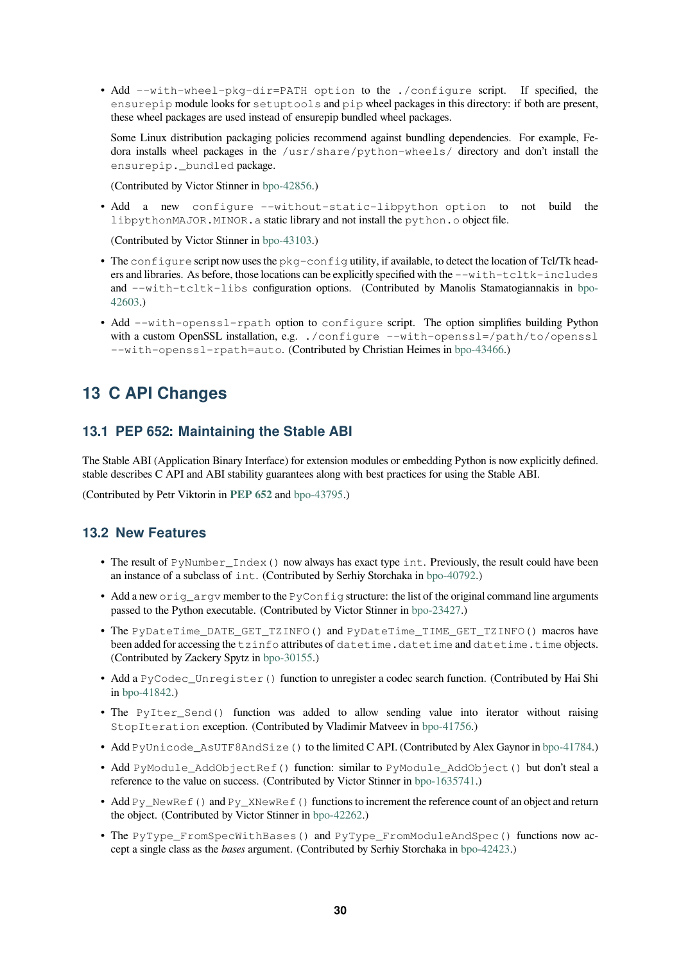• Add --with-wheel-pkg-dir=PATH option to the ./configure script. If specified, the ensurepip module looks for setuptools and pip wheel packages in this directory: if both are present, these wheel packages are used instead of ensurepip bundled wheel packages.

Some Linux distribution packaging policies recommend against bundling dependencies. For example, Fedora installs wheel packages in the /usr/share/python-wheels/ directory and don't install the ensurepip. bundled package.

(Contributed by Victor Stinner in bpo-42856.)

• Add a new configure --without-static-libpython option to not build the libpythonMAJOR.MINOR.a static library and not install the python.o object file.

(Contributed by Victor Stinner in [bpo-43103.](https://bugs.python.org/issue42856))

- The configure script now uses the pkg-config utility, if available, to detect the location of Tcl/Tk headers and libraries. As before, those locations can be explicitly specified with the  $--with-tcltk-includes$ and --with-tcltk-libs c[onfiguration](https://bugs.python.org/issue43103) options. (Contributed by Manolis Stamatogiannakis in bpo-42603.)
- Add --with-openssl-rpath option to configure script. The option simplifies building Python with a custom OpenSSL installation, e.g. ./configure --with-ope[nssl](https://bugs.python.org/issue42603)=/path/to/openssl [--wit](https://bugs.python.org/issue42603)h-openssl-rpath=auto. (Contributed by Christian Heimes in bpo-43466.)

# **13 C API Changes**

#### <span id="page-29-0"></span>**13.1 PEP 652: Maintaining the Stable ABI**

The Stable ABI (Application Binary Interface) for extension modules or embedding Python is now explicitly defined. stable describes C API and ABI stability guarantees along with best practices for using the Stable ABI.

<span id="page-29-1"></span>(Contributed by Petr Viktorin in **PEP 652** and bpo-43795.)

#### **13.2 New Features**

- The result of PyNumber\_Index () n[ow always ha](https://bugs.python.org/issue43795)s exact type int. Previously, the result could have been an instance of a subclass of int. (Contributed by Serhiy Storchaka in bpo-40792.)
- <span id="page-29-2"></span>• Add a new orig\_argv member to the PyConfig structure: the list of the original command line arguments passed to the Python executable. (Contributed by Victor Stinner in bpo-23427.)
- The PyDateTime\_DATE\_GET\_TZINFO() and PyDateTime\_[TIME\\_GET](https://bugs.python.org/issue40792)\_TZINFO() macros have been added for accessing the tzinfo attributes of datetime.datetime and datetime.time objects. (Contributed by Zackery Spytz in bpo-30155.)
- Add a PyCodec\_Unregister() function to unregister a code[c search fun](https://bugs.python.org/issue23427)ction. (Contributed by Hai Shi in bpo-41842.)
- The PyIter\_Send() functi[on was ad](https://bugs.python.org/issue30155)ded to allow sending value into iterator without raising StopIteration exception. (Contributed by Vladimir Matveev in bpo-41756.)
- Add [PyUnic](https://bugs.python.org/issue41842)ode\_AsUTF8AndSize() to the limited CAPI. (Contributed by Alex Gaynor in bpo-41784.)
- Add PyModule\_AddObjectRef() function: similar to PyModule\_AddObject() but don't steal a reference to the value on success. (Contributed by Victor Stinner in b[po-1635741](https://bugs.python.org/issue41756).)
- Add Py\_NewRef() and Py\_XNewRef() functions to increment the reference count of an obj[ect and retur](https://bugs.python.org/issue41784)n the object. (Contributed by Victor Stinner in bpo-42262.)
- The PyType\_FromSpecWithBases() and PyType\_From[ModuleAndS](https://bugs.python.org/issue1635741)pec() functions now accept a single class as the *bases* argument. (Contributed by Serhiy Storchaka in bpo-42423.)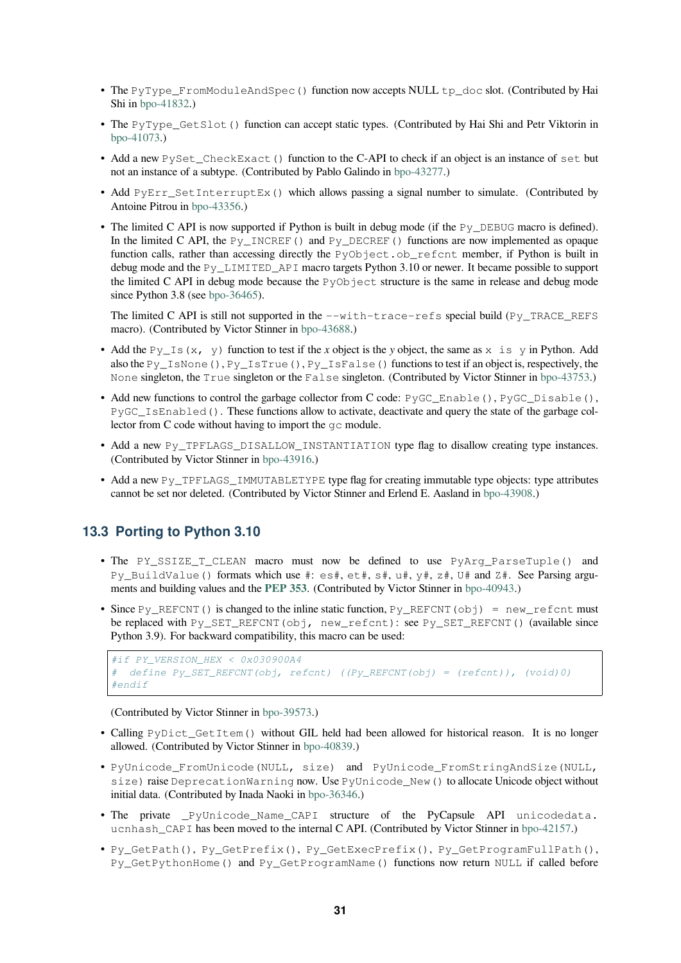- <span id="page-30-1"></span>• The PyType FromModuleAndSpec() function now accepts NULL tp\_doc slot. (Contributed by Hai Shi in bpo-41832.)
- The PyType\_GetSlot() function can accept static types. (Contributed by Hai Shi and Petr Viktorin in bpo-41073.)
- Add a new [PySe](https://bugs.python.org/issue41832)t\_CheckExact() function to the C-API to check if an object is an instance of set but not an instance of a subtype. (Contributed by Pablo Galindo in bpo-43277.)
- Add [PyEr](https://bugs.python.org/issue41073)r Set InterruptEx() which allows passing a signal number to simulate. (Contributed by Antoine Pitrou in bpo-43356.)
- The limited C API is now supported if Python is built in debu[g mode \(if t](https://bugs.python.org/issue43277)he Py\_DEBUG macro is defined). In the limited C API, the  $Py\_INCREF$  () and  $Py\_DECREF$  () functions are now implemented as opaque function calls, rather than accessing directly the PyObject.ob\_refcnt member, if Python is built in debug mode and the [Py\\_LIM](https://bugs.python.org/issue43356)ITED\_API macro targets Python 3.10 or newer. It became possible to support the limited C API in debug mode because the PyObject structure is the same in release and debug mode since Python 3.8 (see bpo-36465).

The limited C API is still not supported in the  $-\text{with}-\text{trace}-\text{refs}$  special build (Py\_TRACE\_REFS macro). (Contributed by Victor Stinner in bpo-43688.)

- Add the  $Py_Is(x, y)$  [functio](https://bugs.python.org/issue36465)n to test if the *x* object is the *y* object, the same as x is y in Python. Add also the Py\_IsNone(), Py\_IsTrue(), Py\_IsFalse() functions to test if an object is, respectively, the None singleton, the True singleton or the [False](https://bugs.python.org/issue43688) singleton. (Contributed by Victor Stinner in bpo-43753.)
- Add new functions to control the garbage collector from C code: PyGC\_Enable(), PyGC\_Disable(), PyGC\_IsEnabled(). These functions allow to activate, deactivate and query the state of the garbage collector from C code without having to import the gc module.
- Add a new Py\_TPFLAGS\_DISALLOW\_INSTANTIATION type flag to disallow creating ty[pe instance](https://bugs.python.org/issue43753)s. (Contributed by Victor Stinner in bpo-43916.)
- Add a new Py\_TPFLAGS\_IMMUTABLETYPE type flag for creating immutable type objects: type attributes cannot be set nor deleted. (Contributed by Victor Stinner and Erlend E. Aasland in bpo-43908.)

#### **13.3 Porting to Python 3.10**

- <span id="page-30-0"></span>• The PY\_SSIZE\_T\_CLEAN macro must now be defined to use PyAr[g\\_ParseTu](https://bugs.python.org/issue43908)ple() and Py BuildValue() formats which use #: es#, et#, s#, u#,  $y#$ , z#, U# and Z#. See Parsing arguments and building values and the **PEP 353**. (Contributed by Victor Stinner in bpo-40943.)
- Since  $Py_{RETCNT}$  () is changed to the inline static function,  $Py_{RETCNT}$  (obj) = new\_refcnt must be replaced with Py\_SET\_REFCNT(obj, new\_refcnt): see Py\_SET\_REFCNT() (available since Python 3.9). For backward comp[atibility, th](https://www.python.org/dev/peps/pep-0353)is macro can be used:

```
#if PY_VERSION_HEX < 0x030900A4
# define Py_SET_REFCNT(obj, refcnt) ((Py_REFCNT(obj) = (refcnt)), (void)0)
#endif
```
(Contributed by Victor Stinner in bpo-39573.)

- Calling PyDict GetItem() without GIL held had been allowed for historical reason. It is no longer allowed. (Contributed by Victor Stinner in bpo-40839.)
- PyUnicode\_FromUnicode([NULL, si](https://bugs.python.org/issue39573)ze) and PyUnicode\_FromStringAndSize(NULL, size) raise DeprecationWarning now. Use PyUnicode\_New() to allocate Unicode object without initial data. (Contributed by Inada Naoki in [bpo-36346](https://bugs.python.org/issue40839).)
- The private PyUnicode Name CAPI structure of the PyCapsule API unicodedata. ucnhash\_CAPI has been moved to the internal C API. (Contributed by Victor Stinner in bpo-42157.)
- Py\_GetPath(), Py\_GetPrefix(), [Py\\_GetEx](https://bugs.python.org/issue36346)ecPrefix(), Py\_GetProgramFullPath(), Py\_GetPythonHome() and Py\_GetProgramName() functions now return NULL if called before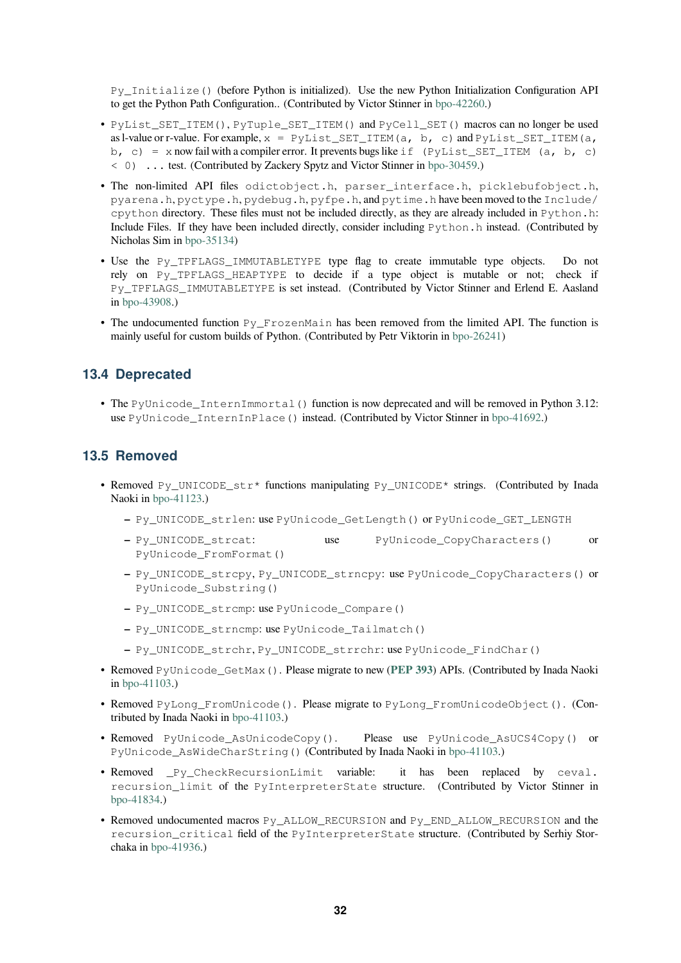<span id="page-31-0"></span>Py\_Initialize() (before Python is initialized). Use the new Python Initialization Configuration API to get the Python Path Configuration.. (Contributed by Victor Stinner in bpo-42260.)

- PyList\_SET\_ITEM(), PyTuple\_SET\_ITEM() and PyCell\_SET() macros can no longer be used as l-value or r-value. For example,  $x = PyList\_SET\_ITEM(a, b, c)$  and  $PyList\_SET\_ITEM(a, b, c)$ b, c) = x now fail with a compiler error. It prevents bugs like if  $(PyList\_SET\_ITEM (a, b, c)$ < 0) ... test. (Contributed by Zackery Spytz and Victor Stinner in b[po-30459.\)](https://bugs.python.org/issue42260)
- The non-limited API files odictobject.h, parser\_interface.h, picklebufobject.h, pyarena.h, pyctype.h, pydebug.h, pyfpe.h, and pytime.h have been moved to the Include/ cpython directory. These files must not be included directly, as they are already included in Python.h: Include Files. If they have been included directly, consider including [Python.h](https://bugs.python.org/issue30459) instead. (Contributed by Nicholas Sim in bpo-35134)
- Use the Py\_TPFLAGS\_IMMUTABLETYPE type flag to create immutable type objects. Do not rely on Py\_TPFLAGS\_HEAPTYPE to decide if a type object is mutable or not; check if Py\_TPFLAGS[\\_IMMUTABL](https://bugs.python.org/issue35134)ETYPE is set instead. (Contributed by Victor Stinner and Erlend E. Aasland in bpo-43908.)
- The undocumented function Py\_FrozenMain has been removed from the limited API. The function is mainly useful for custom builds of Python. (Contributed by Petr Viktorin in bpo-26241)

#### **13.4 Deprecated**

• The PyUnicode\_InternImmortal() function is now deprecated and [will be rem](https://bugs.python.org/issue26241)oved in Python 3.12: use PyUnicode\_InternInPlace() instead. (Contributed by Victor Stinner in bpo-41692.)

#### **13.5 Removed**

- Removed Py\_UNICODE\_str\* functions manipulating Py\_UNICODE\* strings. [\(Contribut](https://bugs.python.org/issue41692)ed by Inada Naoki in bpo-41123.)
	- **–** Py\_UNICODE\_strlen: use PyUnicode\_GetLength() or PyUnicode\_GET\_LENGTH
	- **–** Py\_UNICODE\_strcat: use PyUnicode\_CopyCharacters() or Py[Unicode\\_](https://bugs.python.org/issue41123)FromFormat()
	- **–** Py\_UNICODE\_strcpy, Py\_UNICODE\_strncpy: use PyUnicode\_CopyCharacters() or PyUnicode\_Substring()
	- **–** Py\_UNICODE\_strcmp: use PyUnicode\_Compare()
	- **–** Py\_UNICODE\_strncmp: use PyUnicode\_Tailmatch()
	- **–** Py\_UNICODE\_strchr, Py\_UNICODE\_strrchr: use PyUnicode\_FindChar()
- Removed PyUnicode\_GetMax(). Please migrate to new (**PEP 393**) APIs. (Contributed by Inada Naoki in bpo-41103.)
- Removed PyLong\_FromUnicode(). Please migrate to PyLong\_FromUnicodeObject(). (Contributed by Inada Naoki in bpo-41103.)
- R[emoved](https://bugs.python.org/issue41103) PyUnicode AsUnicodeCopy(). Pleas[e use](https://www.python.org/dev/peps/pep-0393) PyUnicode AsUCS4Copy() or PyUnicode\_AsWideCharString() (Contributed by Inada Naoki in bpo-41103.)
- Removed Py Check[Recursio](https://bugs.python.org/issue41103)nLimit variable: it has been replaced by ceval. recursion\_limit of the PyInterpreterState structure. (Contributed by Victor Stinner in bpo-41834.)
- Removed undocumented macros Py\_ALLOW\_RECURSION and Py\_EN[D\\_ALLOW\\_](https://bugs.python.org/issue41103)RECURSION and the recursion\_critical field of the PyInterpreterState structure. (Contributed by Serhiy Stor[chaka in](https://bugs.python.org/issue41834) bpo-41936.)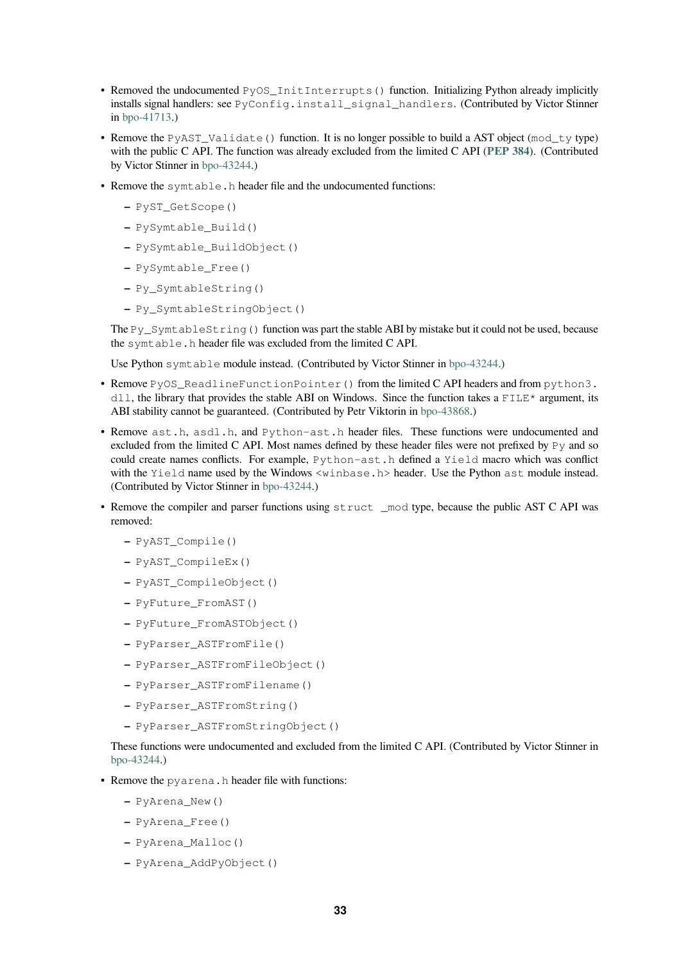- <span id="page-32-0"></span>• Removed the undocumented PyOS InitInterrupts() function. Initializing Python already implicitly installs signal handlers: see PyConfig.install\_signal\_handlers. (Contributed by Victor Stinner in bpo-41713.)
- Remove the PyAST\_Validate () function. It is no longer possible to build a AST object (mod\_ty type) with the public C API. The function was already excluded from the limited C API (**PEP 384**). (Contributed by [Victor Stin](https://bugs.python.org/issue41713)ner in bpo-43244.)
- Remove the symtable.h header file and the undocumented functions:
	- **–** PyST\_GetScope()
	- **–** PySymtabl[e\\_Build\(](https://bugs.python.org/issue43244))
	- **–** PySymtable\_BuildObject()
	- **–** PySymtable\_Free()
	- **–** Py\_SymtableString()
	- **–** Py\_SymtableStringObject()

The Py\_SymtableString() function was part the stable ABI by mistake but it could not be used, because the symtable.h header file was excluded from the limited C API.

Use Python symtable module instead. (Contributed by Victor Stinner in bpo-43244.)

- Remove PyOS\_ReadlineFunctionPointer() from the limited C API headers and from python3. dll, the library that provides the stable ABI on Windows. Since the function takes a FILE\* argument, its ABI stability cannot be guaranteed. (Contributed by Petr Viktorin in bpo-4[3868.\)](https://bugs.python.org/issue43244)
- Remove ast.h, asdl.h, and Python-ast.h header files. These functions were undocumented and excluded from the limited C API. Most names defined by these header files were not prefixed by Py and so could create names conflicts. For example, Python-ast.h defined a Yield macro which was conflict with the Yield name used by the Windows <winbase.h> heade[r. Use the P](https://bugs.python.org/issue43868)ython ast module instead. (Contributed by Victor Stinner in bpo-43244.)
- Remove the compiler and parser functions using struct mod type, because the public AST C API was removed:
	- **–** PyAST\_Compile()
	- **–** PyAST\_CompileEx()
	- **–** PyAST\_CompileObject()
	- **–** PyFuture\_FromAST()
	- **–** PyFuture\_FromASTObject()
	- **–** PyParser\_ASTFromFile()
	- **–** PyParser\_ASTFromFileObject()
	- **–** PyParser\_ASTFromFilename()
	- **–** PyParser\_ASTFromString()
	- **–** PyParser\_ASTFromStringObject()

These functions were undocumented and excluded from the limited C API. (Contributed by Victor Stinner in bpo-43244.)

- Remove the pyarena.h header file with functions:
	- **–** PyArena\_New()
	- **–** [PyAr](https://bugs.python.org/issue43244)ena\_Free()
	- **–** PyArena\_Malloc()
	- **–** PyArena\_AddPyObject()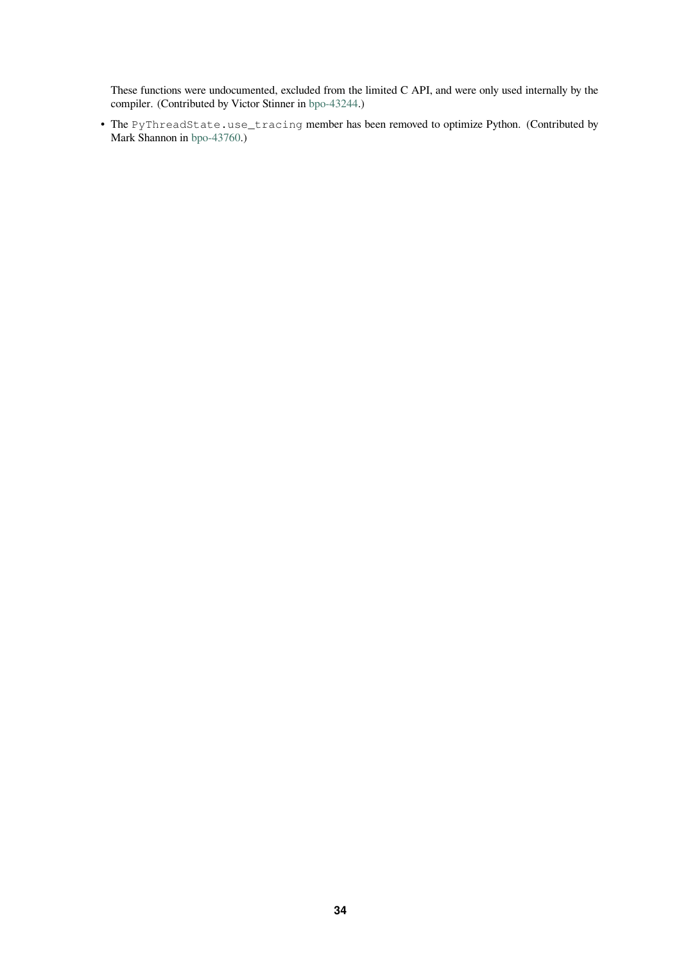These functions were undocumented, excluded from the limited C API, and were only used internally by the compiler. (Contributed by Victor Stinner in bpo-43244.)

• The PyThreadState.use\_tracing member has been removed to optimize Python. (Contributed by Mark Shannon in bpo-43760.)